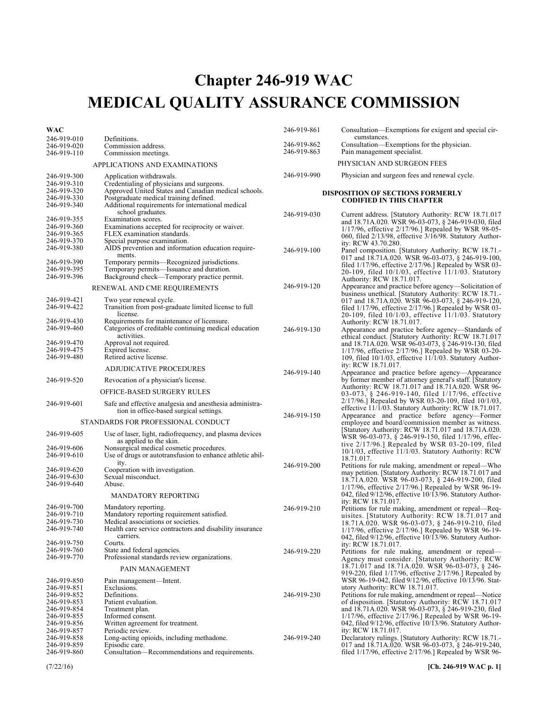# Chapter 246-919 **Chapter 246-919 WAC MEDICAL QUALITY ASSURANCE COMMISSION**

| WAC                                                                                    |                                                                                                                                                                                                                              | 246-919-861                | Consultation—Exemptions for exigent and special cir-                                                                                                                                                                                                                                                                          |
|----------------------------------------------------------------------------------------|------------------------------------------------------------------------------------------------------------------------------------------------------------------------------------------------------------------------------|----------------------------|-------------------------------------------------------------------------------------------------------------------------------------------------------------------------------------------------------------------------------------------------------------------------------------------------------------------------------|
| 246-919-010<br>246-919-020<br>246-919-110                                              | Definitions.<br>Commission address.<br>Commission meetings.                                                                                                                                                                  | 246-919-862<br>246-919-863 | cumstances.<br>Consultation—Exemptions for the physician.<br>Pain management specialist.                                                                                                                                                                                                                                      |
|                                                                                        | APPLICATIONS AND EXAMINATIONS                                                                                                                                                                                                |                            | PHYSICIAN AND SURGEON FEES                                                                                                                                                                                                                                                                                                    |
| 246-919-300<br>246-919-310<br>246-919-320<br>246-919-330<br>246-919-340                | Application withdrawals.<br>Credentialing of physicians and surgeons.<br>Approved United States and Canadian medical schools.<br>Postgraduate medical training defined.<br>Additional requirements for international medical | 246-919-990                | Physician and surgeon fees and renewal cycle.<br><b>DISPOSITION OF SECTIONS FORMERLY</b><br><b>CODIFIED IN THIS CHAPTER</b>                                                                                                                                                                                                   |
| 246-919-355<br>246-919-360<br>246-919-365<br>246-919-370<br>246-919-380                | school graduates.<br>Examination scores.<br>Examinations accepted for reciprocity or waiver.<br>FLEX examination standards.<br>Special purpose examination.<br>AIDS prevention and information education require-            | 246-919-030<br>246-919-100 | Current address. [Statutory Authority: RCW 18.71.017<br>and 18.71A.020. WSR 96-03-073, § 246-919-030, filed<br>1/17/96, effective 2/17/96.] Repealed by WSR 98-05-<br>060, filed 2/13/98, effective 3/16/98. Statutory Author-<br>ity: RCW 43.70.280.<br>Panel composition. [Statutory Authority: RCW 18.71.-                 |
| 246-919-390<br>246-919-395<br>246-919-396                                              | ments.<br>Temporary permits—Recognized jurisdictions.<br>Temporary permits—Issuance and duration.<br>Background check—Temporary practice permit.                                                                             |                            | 017 and 18.71A.020. WSR 96-03-073, § 246-919-100,<br>filed $1/17/96$ , effective $2/17/96$ . Repealed by WSR 03-<br>20-109, filed 10/1/03, effective 11/1/03. Statutory<br>Authority: RCW 18.71.017.                                                                                                                          |
|                                                                                        | RENEWAL AND CME REQUIREMENTS                                                                                                                                                                                                 | 246-919-120                | Appearance and practice before agency—Solicitation of                                                                                                                                                                                                                                                                         |
| 246-919-421<br>246-919-422                                                             | Two year renewal cycle.<br>Transition from post-graduate limited license to full<br>license.                                                                                                                                 |                            | business unethical. [Statutory Authority: RCW 18.71.-<br>017 and 18.71A.020. WSR 96-03-073, § 246-919-120,<br>filed $1/17/96$ , effective $2/17/96$ . Repealed by WSR 03-<br>20-109, filed 10/1/03, effective 11/1/03. Statutory                                                                                              |
| 246-919-430<br>246-919-460                                                             | Requirements for maintenance of licensure.<br>Categories of creditable continuing medical education<br>activities.                                                                                                           | 246-919-130                | Authority: RCW 18.71.017.<br>Appearance and practice before agency—Standards of<br>ethical conduct. [Statutory Authority: RCW 18.71.017                                                                                                                                                                                       |
| 246-919-470<br>246-919-475<br>246-919-480                                              | Approval not required.<br>Expired license.<br>Retired active license.                                                                                                                                                        |                            | and 18.71A.020. WSR 96-03-073, § 246-919-130, filed<br>$1/17/96$ , effective $2/17/96$ . Repealed by WSR 03-20-<br>109, filed 10/1/03, effective 11/1/03. Statutory Author-                                                                                                                                                   |
|                                                                                        | <b>ADJUDICATIVE PROCEDURES</b>                                                                                                                                                                                               | 246-919-140                | ity: RCW 18.71.017.<br>Appearance and practice before agency—Appearance                                                                                                                                                                                                                                                       |
| 246-919-520                                                                            | Revocation of a physician's license.                                                                                                                                                                                         |                            | by former member of attorney general's staff. [Statutory<br>Authority: RCW 18.71.017 and 18.71A.020. WSR 96-                                                                                                                                                                                                                  |
|                                                                                        | OFFICE-BASED SURGERY RULES                                                                                                                                                                                                   |                            | 03-073, § 246-919-140, filed 1/17/96, effective                                                                                                                                                                                                                                                                               |
| 246-919-601                                                                            | Safe and effective analgesia and anesthesia administra-<br>tion in office-based surgical settings.                                                                                                                           | 246-919-150                | $2/17/96$ .] Repealed by WSR 03-20-109, filed $10/1/03$ ,<br>effective 11/1/03. Statutory Authority: RCW 18.71.017.<br>Appearance and practice before agency—Former                                                                                                                                                           |
|                                                                                        | STANDARDS FOR PROFESSIONAL CONDUCT                                                                                                                                                                                           |                            | employee and board/commission member as witness.                                                                                                                                                                                                                                                                              |
| 246-919-605<br>246-919-606<br>246-919-610                                              | Use of laser, light, radiofrequency, and plasma devices<br>as applied to the skin.<br>Nonsurgical medical cosmetic procedures.<br>Use of drugs or autotransfusion to enhance athletic abil-                                  |                            | [Statutory Authority: RCW 18.71.017 and 18.71A.020.]<br>WSR 96-03-073, § 246-919-150, filed 1/17/96, effec-<br>tive $2/17/96$ .] Repealed by WSR 03-20-109, filed<br>10/1/03, effective 11/1/03. Statutory Authority: RCW<br>18.71.017.                                                                                       |
| 246-919-620<br>246-919-630<br>246-919-640                                              | ity.<br>Cooperation with investigation.<br>Sexual misconduct.<br>Abuse.                                                                                                                                                      | 246-919-200                | Petitions for rule making, amendment or repeal—Who<br>may petition. [Statutory Authority: RCW 18.71.017 and<br>18.71A.020. WSR 96-03-073, § 246-919-200, filed<br>$1/17/96$ , effective $2/17/96$ . Repealed by WSR 96-19-                                                                                                    |
|                                                                                        | <b>MANDATORY REPORTING</b>                                                                                                                                                                                                   |                            | 042, filed 9/12/96, effective 10/13/96. Statutory Author-<br>ity: RCW 18.71.017.                                                                                                                                                                                                                                              |
| 246-919-700<br>246-919-710<br>246-919-730<br>246-919-740                               | Mandatory reporting.<br>Mandatory reporting requirement satisfied.<br>Medical associations or societies.<br>Health care service contractors and disability insurance<br>carriers.                                            | 246-919-210                | Petitions for rule making, amendment or repeal—Req-<br>uisites. [Statutory Authority: RCW 18.71.017 and<br>18.71A.020. WSR 96-03-073, § 246-919-210, filed<br>$1/17/96$ , effective $2/17/96$ . Repealed by WSR 96-19-<br>042, filed $9/12/96$ , effective $10/13/96$ . Statutory Author-                                     |
| 246-919-750<br>246-919-760<br>246-919-770                                              | Courts.<br>State and federal agencies.<br>Professional standards review organizations.                                                                                                                                       | 246-919-220                | ity: RCW 18.71.017.<br>Petitions for rule making, amendment or repeal-<br>Agency must consider. [Statutory Authority: RCW                                                                                                                                                                                                     |
|                                                                                        | PAIN MANAGEMENT                                                                                                                                                                                                              |                            | 18.71.017 and 18.71A.020. WSR 96-03-073, § 246-<br>919-220, filed 1/17/96, effective 2/17/96.] Repealed by                                                                                                                                                                                                                    |
| 246-919-850<br>246-919-851<br>246-919-852<br>246-919-853<br>246-919-854<br>246-919-855 | Pain management—Intent.<br>Exclusions.<br>Definitions.<br>Patient evaluation.<br>Treatment plan.<br>Informed consent.                                                                                                        | 246-919-230                | WSR 96-19-042, filed 9/12/96, effective 10/13/96. Stat-<br>utory Authority: RCW 18.71.017.<br>Petitions for rule making, amendment or repeal—Notice<br>of disposition. [Statutory Authority: RCW 18.71.017<br>and 18.71A.020. WSR 96-03-073, § 246-919-230, filed<br>$1/17/96$ , effective $2/17/96$ . Repealed by WSR 96-19- |
| 246-919-856<br>246-919-857<br>246-919-858<br>246-919-859<br>246-919-860                | Written agreement for treatment.<br>Periodic review.<br>Long-acting opioids, including methadone.<br>Episodic care.<br>Consultation—Recommendations and requirements.                                                        | 246-919-240                | 042, filed $9/12/96$ , effective $10/13/96$ . Statutory Author-<br>ity: RCW 18.71.017.<br>Declaratory rulings. [Statutory Authority: RCW 18.71.-<br>017 and 18.71A.020. WSR 96-03-073, § 246-919-240,<br>filed 1/17/96, effective 2/17/96.] Repealed by WSR 96-                                                               |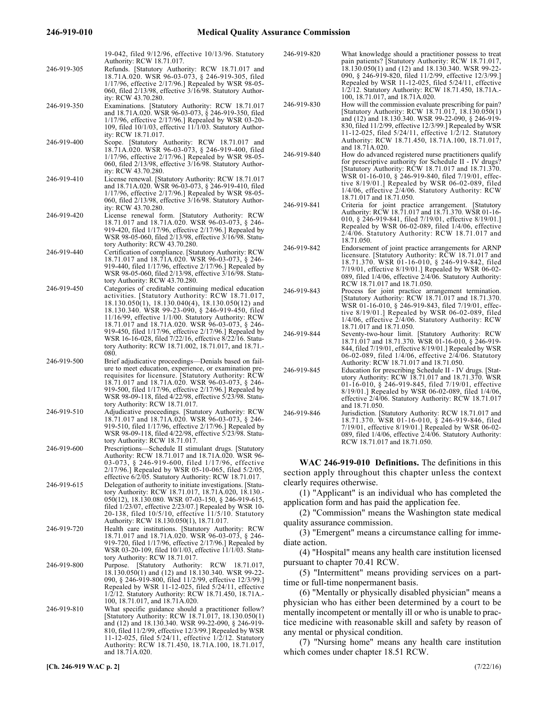| 246-919-305 | 19-042, filed 9/12/96, effective 10/13/96. Statutory<br>Authority: RCW 18.71.017.<br>Refunds. [Statutory Authority: RCW 18.71.017 and<br>18.71A.020. WSR 96-03-073, § 246-919-305, filed<br>1/17/96, effective 2/17/96.] Repealed by WSR 98-05-<br>060, filed $2/13/98$ , effective $3/16/98$ . Statutory Author-                                                                                                                | 246-919-820                                                                                                                                                                                        | What knowledge should a practitioner possess to treat<br>pain patients? [Statutory Authority: RCW 18.71.017,<br>18.130.050(1) and (12) and 18.130.340. WSR 99-22-<br>090, § 246-919-820, filed 11/2/99, effective 12/3/99.]<br>Repealed by WSR 11-12-025, filed 5/24/11, effective<br>1/2/12. Statutory Authority: RCW 18.71.450, 18.71A.                                                     |
|-------------|----------------------------------------------------------------------------------------------------------------------------------------------------------------------------------------------------------------------------------------------------------------------------------------------------------------------------------------------------------------------------------------------------------------------------------|----------------------------------------------------------------------------------------------------------------------------------------------------------------------------------------------------|-----------------------------------------------------------------------------------------------------------------------------------------------------------------------------------------------------------------------------------------------------------------------------------------------------------------------------------------------------------------------------------------------|
| 246-919-350 | ity: RCW 43.70.280.<br>Examinations. [Statutory Authority: RCW 18.71.017<br>and 18.71A.020. WSR 96-03-073, § 246-919-350, filed<br>$1/17/96$ , effective $2/17/96$ . Repealed by WSR 03-20-<br>109, filed 10/1/03, effective 11/1/03. Statutory Author-<br>ity: RCW 18.71.017.                                                                                                                                                   | 246-919-830                                                                                                                                                                                        | 100, 18.71.017, and 18.71A.020.<br>How will the commission evaluate prescribing for pain?<br>[Statutory Authority: RCW 18.71.017, 18.130.050(1)<br>and (12) and 18.130.340. WSR 99-22-090, § 246-919-<br>830, filed 11/2/99, effective 12/3/99.] Repealed by WSR<br>11-12-025, filed 5/24/11, effective 1/2/12. Statutory                                                                     |
| 246-919-400 | Scope. [Statutory Authority: RCW 18.71.017 and<br>18.71A.020. WSR 96-03-073, § 246-919-400, filed<br>$1/17/96$ , effective $2/17/96$ . Repealed by WSR 98-05-<br>060, filed 2/13/98, effective 3/16/98. Statutory Author-<br>ity: RCW 43.70.280.                                                                                                                                                                                 | 246-919-840                                                                                                                                                                                        | Authority: RCW 18.71.450, 18.71A.100, 18.71.017,<br>and 18.71A.020.<br>How do advanced registered nurse practitioners qualify<br>for prescriptive authority for Schedule II - IV drugs?<br>[Statutory Authority: RCW 18.71.017 and 18.71.370.                                                                                                                                                 |
| 246-919-410 | License renewal. [Statutory Authority: RCW 18.71.017<br>and 18.71A.020. WSR 96-03-073, § 246-919-410, filed<br>$1/17/96$ , effective $2/17/96$ . Repealed by WSR 98-05-<br>060, filed $2/13/98$ , effective $3/16/98$ . Statutory Author-                                                                                                                                                                                        | 246-919-841                                                                                                                                                                                        | WSR 01-16-010, § 246-919-840, filed 7/19/01, effec-<br>tive $8/19/01$ .] Repealed by WSR 06-02-089, filed<br>1/4/06, effective 2/4/06. Statutory Authority: RCW<br>18.71.017 and 18.71.050.                                                                                                                                                                                                   |
| 246-919-420 | ity: RCW 43.70.280.<br>License renewal form. [Statutory Authority: RCW<br>18.71.017 and 18.71A.020. WSR 96-03-073, § 246-<br>919-420, filed 1/17/96, effective 2/17/96.] Repealed by<br>WSR 98-05-060, filed 2/13/98, effective 3/16/98. Statu-                                                                                                                                                                                  |                                                                                                                                                                                                    | Criteria for joint practice arrangement. [Statutory<br>Authority: RCW 18.71.017 and 18.71.370. WSR 01-16-<br>010, § 246-919-841, filed $7/19/01$ , effective 8/19/01.<br>Repealed by WSR 06-02-089, filed 1/4/06, effective<br>$2/4/06$ . Statutory Authority: RCW 18.71.017 and                                                                                                              |
| 246-919-440 | tory Authority: RCW 43.70.280.<br>Certification of compliance. [Statutory Authority: RCW<br>18.71.017 and 18.71A.020. WSR 96-03-073, § 246-<br>919-440, filed 1/17/96, effective 2/17/96.] Repealed by<br>WSR 98-05-060, filed 2/13/98, effective 3/16/98. Statu-                                                                                                                                                                | 246-919-842                                                                                                                                                                                        | 18.71.050.<br>Endorsement of joint practice arrangements for ARNP<br>licensure. [Statutory Authority: RCW 18.71.017 and<br>18.71.370. WSR 01-16-010, § 246-919-842, filed<br>7/19/01, effective 8/19/01.] Repealed by WSR 06-02-<br>089, filed 1/4/06, effective 2/4/06. Statutory Authority:                                                                                                 |
| 246-919-450 | tory Authority: RCW 43.70.280.<br>Categories of creditable continuing medical education<br>activities. [Statutory Authority: RCW 18.71.017,<br>$18.130.050(1)$ , $18.130.040(4)$ , $18.130.050(12)$ and<br>18.130.340. WSR 99-23-090, § 246-919-450, filed<br>11/16/99, effective 1/1/00. Statutory Authority: RCW<br>18.71.017 and 18.71A.020. WSR 96-03-073, § 246-<br>919-450, filed 1/17/96, effective 2/17/96.] Repealed by | 246-919-843<br>246-919-844                                                                                                                                                                         | RCW 18.71.017 and 18.71.050.<br>Process for joint practice arrangement termination.<br>[Statutory Authority: RCW 18.71.017 and 18.71.370.]<br>WSR 01-16-010, § 246-919-843, filed 7/19/01, effec-<br>tive $8/19/01$ . Repealed by WSR 06-02-089, filed<br>1/4/06, effective 2/4/06. Statutory Authority: RCW<br>18.71.017 and 18.71.050.<br>Seventy-two-hour limit. [Statutory Authority: RCW |
|             | WSR 16-16-028, filed 7/22/16, effective 8/22/16. Statu-<br>tory Authority: RCW 18.71.002, 18.71.017, and 18.71.<br>080.                                                                                                                                                                                                                                                                                                          |                                                                                                                                                                                                    | 18.71.017 and 18.71.370. WSR 01-16-010, § 246-919-<br>844, filed 7/19/01, effective 8/19/01.] Repealed by WSR<br>06-02-089, filed 1/4/06, effective 2/4/06. Statutory                                                                                                                                                                                                                         |
| 246-919-500 | Brief adjudicative proceedings—Denials based on fail-<br>ure to meet education, experience, or examination pre-<br>requisites for licensure. [Statutory Authority: RCW<br>18.71.017 and 18.71A.020. WSR 96-03-073, § 246-<br>919-500, filed 1/17/96, effective 2/17/96.] Repealed by<br>WSR 98-09-118, filed 4/22/98, effective 5/23/98. Statu-<br>tory Authority: RCW 18.71.017.                                                | 246-919-845                                                                                                                                                                                        | Authority: RCW 18.71.017 and 18.71.050.<br>Education for prescribing Schedule II - IV drugs. [Stat-<br>utory Authority: RCW 18.71.017 and 18.71.370. WSR<br>01-16-010, $\S$ 246-919-845, filed 7/19/01, effective<br>8/19/01.] Repealed by WSR 06-02-089, filed 1/4/06,<br>effective 2/4/06. Statutory Authority: RCW 18.71.017                                                               |
| 246-919-510 | Adjudicative proceedings. [Statutory Authority: RCW<br>18.71.017 and 18.71A.020. WSR 96-03-073, § 246-<br>919-510, filed 1/17/96, effective 2/17/96.] Repealed by<br>WSR 98-09-118, filed 4/22/98, effective 5/23/98. Statu-<br>tory Authority: RCW 18.71.017.                                                                                                                                                                   | 246-919-846                                                                                                                                                                                        | and 18.71.050.<br>Jurisdiction. [Statutory Authority: RCW 18.71.017 and<br>18.71.370. WSR 01-16-010, § 246-919-846, filed<br>$7/19/01$ , effective $8/19/01$ . Repealed by WSR 06-02-<br>089, filed 1/4/06, effective 2/4/06. Statutory Authority:<br>RCW 18.71.017 and 18.71.050.                                                                                                            |
| 246-919-600 | Prescriptions-Schedule II stimulant drugs. [Statutory<br>Authority: RCW 18.71.017 and 18.71A.020. WSR 96-<br>03-073, § 246-919-600, filed $1/17/96$ , effective<br>$2/17/96$ .] Repealed by WSR 05-10-065, filed 5/2/05,<br>effective 6/2/05. Statutory Authority: RCW 18.71.017.                                                                                                                                                |                                                                                                                                                                                                    | WAC 246-919-010 Definitions. The definitions in this<br>section apply throughout this chapter unless the context                                                                                                                                                                                                                                                                              |
| 246-919-615 | Delegation of authority to initiate investigations. [Statu-<br>tory Authority: RCW 18.71.017, 18.71A.020, 18.130.<br>050(12), 18.130.080. WSR 07-03-150, § 246-919-615,<br>filed $1/23/07$ , effective $2/23/07$ .] Repealed by WSR 10-<br>20-138, filed 10/5/10, effective 11/5/10. Statutory                                                                                                                                   | clearly requires otherwise.<br>(1) "Applicant" is an individual who has completed the<br>application form and has paid the application fee.<br>(2) "Commission" means the Washington state medical |                                                                                                                                                                                                                                                                                                                                                                                               |
| 246-919-720 | Authority: RCW 18.130.050(1), 18.71.017.<br>Health care institutions. [Statutory Authority: RCW<br>18.71.017 and 18.71A.020. WSR 96-03-073, § 246-<br>919-720, filed 1/17/96, effective 2/17/96.] Repealed by<br>WSR 03-20-109, filed 10/1/03, effective 11/1/03. Statu-                                                                                                                                                         | quality assurance commission.<br>(3) "Emergent" means a circumstance calling for imme-<br>diate action.<br>(4) "Hospital" means any health care institution licensed                               |                                                                                                                                                                                                                                                                                                                                                                                               |
| 246-919-800 | tory Authority: RCW 18.71.017.<br>Purpose. [Statutory Authority: RCW 18.71.017,<br>18.130.050(1) and (12) and 18.130.340. WSR 99-22-<br>090, § 246-919-800, filed 11/2/99, effective 12/3/99.]<br>Repealed by WSR 11-12-025, filed 5/24/11, effective<br>1/2/12. Statutory Authority: RCW 18.71.450, 18.71A.-                                                                                                                    | pursuant to chapter 70.41 RCW.<br>(5) "Intermittent" means providing services on a part-<br>time or full-time nonpermanent basis.<br>(6) "Mentally or physically disabled physician" means a       |                                                                                                                                                                                                                                                                                                                                                                                               |
| 246-919-810 | 100, 18.71.017, and 18.71A.020.<br>What specific guidance should a practitioner follow?<br>[Statutory Authority: RCW 18.71.017, 18.130.050(1)<br>and (12) and 18.130.340. WSR 99-22-090, § 246-919-<br>810, filed 11/2/99, effective 12/3/99.] Repealed by WSR<br>11-12-025, filed 5/24/11, effective 1/2/12. Statutory<br>Authority: RCW 18.71.450, 18.71A.100, 18.71.017,<br>and 18.71A.020.                                   |                                                                                                                                                                                                    | physician who has either been determined by a court to be<br>mentally incompetent or mentally ill or who is unable to prac-<br>tice medicine with reasonable skill and safety by reason of<br>any mental or physical condition.<br>(7) "Nursing home" means any health care institution<br>which comes under chanter 18.51 RCW                                                                |

|             | pain patients? [Statutory Authority: RCW 18.71.017,<br>18.130.050(1) and (12) and 18.130.340. WSR 99-22-<br>090, § 246-919-820, filed 11/2/99, effective 12/3/99.]<br>Repealed by WSR 11-12-025, filed $5/24/11$ , effective<br>1/2/12. Statutory Authority: RCW 18.71.450, 18.71A.-<br>100, 18.71.017, and 18.71A.020.                                             |
|-------------|---------------------------------------------------------------------------------------------------------------------------------------------------------------------------------------------------------------------------------------------------------------------------------------------------------------------------------------------------------------------|
| 246-919-830 | How will the commission evaluate prescribing for pain?<br>[Statutory Authority: RCW 18.71.017, 18.130.050(1)<br>and (12) and 18.130.340. WSR 99-22-090, § 246-919-<br>830, filed 11/2/99, effective 12/3/99.] Repealed by WSR<br>11-12-025, filed $5/24/11$ , effective $1/2/12$ . Statutory<br>Authority: RCW 18.71.450, 18.71A.100, 18.71.017,<br>and 18.71A.020. |
| 246-919-840 | How do advanced registered nurse practitioners qualify<br>for prescriptive authority for Schedule II - IV drugs?<br>[Statutory Authority: RCW 18.71.017 and 18.71.370.]<br>WSR 01-16-010, § 246-919-840, filed 7/19/01, effec-<br>tive 8/19/01.] Repealed by WSR 06-02-089, filed<br>1/4/06, effective 2/4/06. Statutory Authority: RCW<br>18.71.017 and 18.71.050. |
| 246-919-841 | Criteria for joint practice arrangement. [Statutory<br>Authority: RCW 18.71.017 and 18.71.370. WSR 01-16-<br>010, § 246-919-841, filed 7/19/01, effective 8/19/01.<br>Repealed by WSR 06-02-089, filed 1/4/06, effective<br>2/4/06. Statutory Authority: RCW 18.71.017 and<br>18.71.050.                                                                            |
| 246-919-842 | Endorsement of joint practice arrangements for ARNP<br>licensure. [Statutory Authority: RCW 18.71.017 and<br>18.71.370. WSR 01-16-010, § 246-919-842, filed<br>7/19/01, effective 8/19/01.] Repealed by WSR 06-02-<br>089, filed 1/4/06, effective 2/4/06. Statutory Authority:<br>RCW 18.71.017 and 18.71.050.                                                     |
| 246-919-843 | Process for joint practice arrangement termination.<br>[Statutory Authority: RCW 18.71.017 and 18.71.370.<br>WSR 01-16-010, § 246-919-843, filed 7/19/01, effec-<br>tive 8/19/01.] Repealed by WSR 06-02-089, filed<br>1/4/06, effective 2/4/06. Statutory Authority: RCW<br>18.71.017 and 18.71.050.                                                               |
| 246-919-844 | Seventy-two-hour limit. [Statutory Authority: RCW<br>18.71.017 and 18.71.370. WSR 01-16-010, § 246-919-<br>844, filed 7/19/01, effective 8/19/01.] Repealed by WSR<br>06-02-089, filed $1/4/06$ , effective $2/\frac{4}{06}$ . Statutory<br>Authority: RCW 18.71.017 and 18.71.050.                                                                                 |
| 246-919-845 | Education for prescribing Schedule II - IV drugs. [Stat-<br>utory Authority: RCW 18.71.017 and 18.71.370. WSR<br>01-16-010, § 246-919-845, filed 7/19/01, effective<br>8/19/01.] Repealed by WSR 06-02-089, filed 1/4/06,<br>effective 2/4/06. Statutory Authority: RCW 18.71.017<br>and 18.71.050.                                                                 |
| 246-919-846 | Jurisdiction. [Statutory Authority: RCW 18.71.017 and<br>18.71.370. WSR 01-16-010, § 246-919-846, filed<br>7/19/01, effective 8/19/01.] Repealed by WSR 06-02-<br>089, filed 1/4/06, effective 2/4/06. Statutory Authority:<br>RCW 18.71.017 and 18.71.050.                                                                                                         |

(7) "Nursing home" means any health care institution which comes under chapter 18.51 RCW.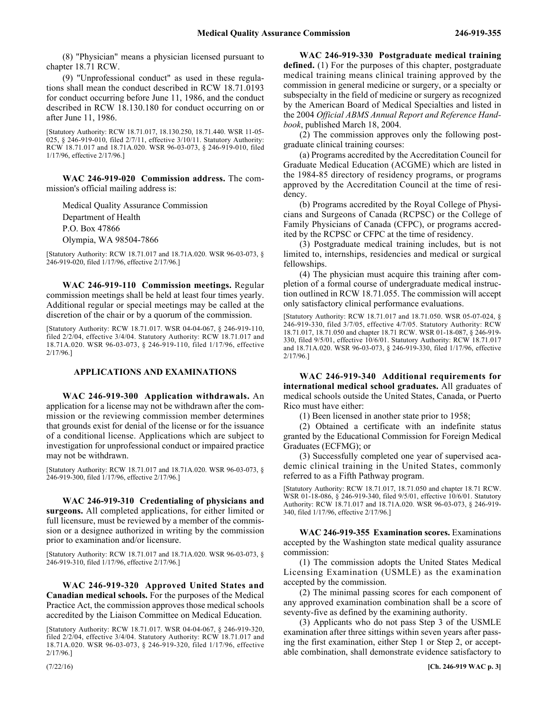(8) "Physician" means a physician licensed pursuant to chapter 18.71 RCW.

(9) "Unprofessional conduct" as used in these regulations shall mean the conduct described in RCW 18.71.0193 for conduct occurring before June 11, 1986, and the conduct described in RCW 18.130.180 for conduct occurring on or after June 11, 1986.

[Statutory Authority: RCW 18.71.017, 18.130.250, 18.71.440. WSR 11-05- 025, § 246-919-010, filed 2/7/11, effective 3/10/11. Statutory Authority: RCW 18.71.017 and 18.71A.020. WSR 96-03-073, § 246-919-010, filed 1/17/96, effective 2/17/96.]

246-919-020 **WAC 246-919-020 Commission address.** The commission's official mailing address is:

Medical Quality Assurance Commission Department of Health P.O. Box 47866 Olympia, WA 98504-7866

[Statutory Authority: RCW 18.71.017 and 18.71A.020. WSR 96-03-073, § 246-919-020, filed 1/17/96, effective 2/17/96.]

246-919-110 **WAC 246-919-110 Commission meetings.** Regular commission meetings shall be held at least four times yearly. Additional regular or special meetings may be called at the discretion of the chair or by a quorum of the commission.

[Statutory Authority: RCW 18.71.017. WSR 04-04-067, § 246-919-110, filed 2/2/04, effective 3/4/04. Statutory Authority: RCW 18.71.017 and 18.71A.020. WSR 96-03-073, § 246-919-110, filed 1/17/96, effective 2/17/96.]

#### **APPLICATIONS AND EXAMINATIONS**

246-919-300 **WAC 246-919-300 Application withdrawals.** An application for a license may not be withdrawn after the commission or the reviewing commission member determines that grounds exist for denial of the license or for the issuance of a conditional license. Applications which are subject to investigation for unprofessional conduct or impaired practice may not be withdrawn.

[Statutory Authority: RCW 18.71.017 and 18.71A.020. WSR 96-03-073, § 246-919-300, filed 1/17/96, effective 2/17/96.]

246-919-310 **WAC 246-919-310 Credentialing of physicians and surgeons.** All completed applications, for either limited or full licensure, must be reviewed by a member of the commission or a designee authorized in writing by the commission prior to examination and/or licensure.

[Statutory Authority: RCW 18.71.017 and 18.71A.020. WSR 96-03-073, § 246-919-310, filed 1/17/96, effective 2/17/96.]

246-919-320 **WAC 246-919-320 Approved United States and Canadian medical schools.** For the purposes of the Medical Practice Act, the commission approves those medical schools accredited by the Liaison Committee on Medical Education.

[Statutory Authority: RCW 18.71.017. WSR 04-04-067, § 246-919-320, filed 2/2/04, effective 3/4/04. Statutory Authority: RCW 18.71.017 and 18.71A.020. WSR 96-03-073, § 246-919-320, filed 1/17/96, effective 2/17/96.]

246-919-330 **WAC 246-919-330 Postgraduate medical training defined.** (1) For the purposes of this chapter, postgraduate medical training means clinical training approved by the commission in general medicine or surgery, or a specialty or subspecialty in the field of medicine or surgery as recognized by the American Board of Medical Specialties and listed in the 2004 *Official ABMS Annual Report and Reference Handbook*, published March 18, 2004.

(2) The commission approves only the following postgraduate clinical training courses:

(a) Programs accredited by the Accreditation Council for Graduate Medical Education (ACGME) which are listed in the 1984-85 directory of residency programs, or programs approved by the Accreditation Council at the time of residency.

(b) Programs accredited by the Royal College of Physicians and Surgeons of Canada (RCPSC) or the College of Family Physicians of Canada (CFPC), or programs accredited by the RCPSC or CFPC at the time of residency.

(3) Postgraduate medical training includes, but is not limited to, internships, residencies and medical or surgical fellowships.

(4) The physician must acquire this training after completion of a formal course of undergraduate medical instruction outlined in RCW 18.71.055. The commission will accept only satisfactory clinical performance evaluations.

[Statutory Authority: RCW 18.71.017 and 18.71.050. WSR 05-07-024, § 246-919-330, filed 3/7/05, effective 4/7/05. Statutory Authority: RCW 18.71.017, 18.71.050 and chapter 18.71 RCW. WSR 01-18-087, § 246-919- 330, filed 9/5/01, effective 10/6/01. Statutory Authority: RCW 18.71.017 and 18.71A.020. WSR 96-03-073, § 246-919-330, filed 1/17/96, effective 2/17/96.]

246-919-340 **WAC 246-919-340 Additional requirements for international medical school graduates.** All graduates of medical schools outside the United States, Canada, or Puerto Rico must have either:

(1) Been licensed in another state prior to 1958;

(2) Obtained a certificate with an indefinite status granted by the Educational Commission for Foreign Medical Graduates (ECFMG); or

(3) Successfully completed one year of supervised academic clinical training in the United States, commonly referred to as a Fifth Pathway program.

[Statutory Authority: RCW 18.71.017, 18.71.050 and chapter 18.71 RCW. WSR 01-18-086, § 246-919-340, filed 9/5/01, effective 10/6/01. Statutory Authority: RCW 18.71.017 and 18.71A.020. WSR 96-03-073, § 246-919- 340, filed 1/17/96, effective 2/17/96.]

246-919-355 **WAC 246-919-355 Examination scores.** Examinations accepted by the Washington state medical quality assurance commission:

(1) The commission adopts the United States Medical Licensing Examination (USMLE) as the examination accepted by the commission.

(2) The minimal passing scores for each component of any approved examination combination shall be a score of seventy-five as defined by the examining authority.

(3) Applicants who do not pass Step 3 of the USMLE examination after three sittings within seven years after passing the first examination, either Step 1 or Step 2, or acceptable combination, shall demonstrate evidence satisfactory to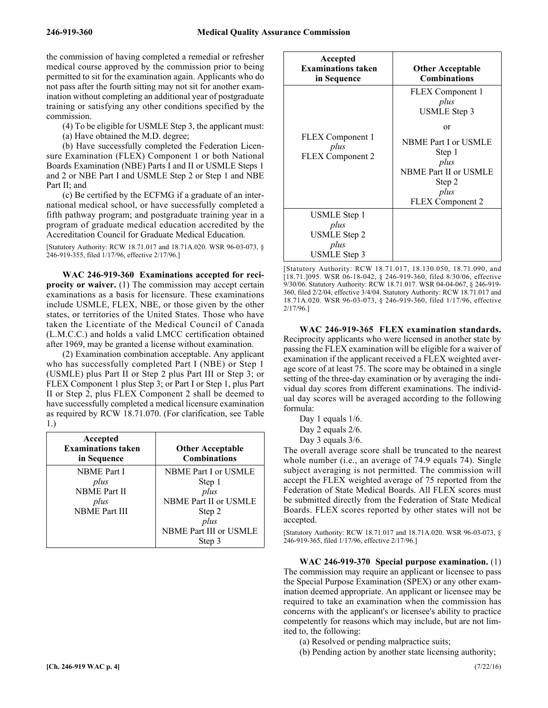the commission of having completed a remedial or refresher medical course approved by the commission prior to being permitted to sit for the examination again. Applicants who do not pass after the fourth sitting may not sit for another examination without completing an additional year of postgraduate training or satisfying any other conditions specified by the commission.

(4) To be eligible for USMLE Step 3, the applicant must:

(a) Have obtained the M.D. degree;

(b) Have successfully completed the Federation Licensure Examination (FLEX) Component 1 or both National Boards Examination (NBE) Parts I and II or USMLE Steps 1 and 2 or NBE Part I and USMLE Step 2 or Step 1 and NBE Part II; and

(c) Be certified by the ECFMG if a graduate of an international medical school, or have successfully completed a fifth pathway program; and postgraduate training year in a program of graduate medical education accredited by the Accreditation Council for Graduate Medical Education.

[Statutory Authority: RCW 18.71.017 and 18.71A.020. WSR 96-03-073, § 246-919-355, filed 1/17/96, effective 2/17/96.]

246-919-360 **WAC 246-919-360 Examinations accepted for reciprocity or waiver.** (1) The commission may accept certain examinations as a basis for licensure. These examinations include USMLE, FLEX, NBE, or those given by the other states, or territories of the United States. Those who have taken the Licentiate of the Medical Council of Canada (L.M.C.C.) and holds a valid LMCC certification obtained after 1969, may be granted a license without examination.

(2) Examination combination acceptable. Any applicant who has successfully completed Part I (NBE) or Step 1 (USMLE) plus Part II or Step 2 plus Part III or Step 3; or FLEX Component 1 plus Step 3; or Part I or Step 1, plus Part II or Step 2, plus FLEX Component 2 shall be deemed to have successfully completed a medical licensure examination as required by RCW 18.71.070. (For clarification, see Table

1.)

| Accepted<br><b>Examinations taken</b><br>in Sequence | <b>Other Acceptable</b><br><b>Combinations</b> |
|------------------------------------------------------|------------------------------------------------|
| <b>NBME</b> Part I                                   | NBME Part I or USMLE                           |
| plus                                                 | Step 1                                         |
| <b>NBME</b> Part II                                  | plus                                           |
| plus                                                 | NBME Part II or USMLE                          |
| <b>NBME Part III</b>                                 | Step 2                                         |
|                                                      | plus                                           |
|                                                      | NBME Part III or USMLE                         |
|                                                      | Step 3                                         |

| Accepted<br><b>Examinations taken</b><br>in Sequence         | <b>Other Acceptable</b><br><b>Combinations</b>                                                                                                                 |
|--------------------------------------------------------------|----------------------------------------------------------------------------------------------------------------------------------------------------------------|
| FLEX Component 1<br>plus<br><b>FLEX</b> Component 2          | FLEX Component 1<br>plus<br>USMLE Step 3<br>or<br><b>NBME Part I or USMLE</b><br>Step 1<br>plus<br>NBME Part II or USMLE<br>Step 2<br>plus<br>FLEX Component 2 |
| USMLE Step 1<br>plus<br>USMLE Step 2<br>plus<br>USMLE Step 3 |                                                                                                                                                                |

[Statutory Authority: RCW 18.71.017, 18.130.050, 18.71.090, and [18.71.]095. WSR 06-18-042, § 246-919-360, filed 8/30/06, effective 9/30/06. Statutory Authority: RCW 18.71.017. WSR 04-04-067, § 246-919- 360, filed 2/2/04, effective 3/4/04. Statutory Authority: RCW 18.71.017 and 18.71A.020. WSR 96-03-073, § 246-919-360, filed 1/17/96, effective 2/17/96.]

246-919-365 **WAC 246-919-365 FLEX examination standards.** Reciprocity applicants who were licensed in another state by passing the FLEX examination will be eligible for a waiver of examination if the applicant received a FLEX weighted average score of at least 75. The score may be obtained in a single setting of the three-day examination or by averaging the individual day scores from different examinations. The individual day scores will be averaged according to the following formula:

Day 1 equals 1/6.

Day 2 equals 2/6.

Day 3 equals 3/6.

The overall average score shall be truncated to the nearest whole number (i.e., an average of 74.9 equals 74). Single subject averaging is not permitted. The commission will accept the FLEX weighted average of 75 reported from the Federation of State Medical Boards. All FLEX scores must be submitted directly from the Federation of State Medical Boards. FLEX scores reported by other states will not be accepted.

[Statutory Authority: RCW 18.71.017 and 18.71A.020. WSR 96-03-073, § 246-919-365, filed 1/17/96, effective 2/17/96.]

246-919-370 **WAC 246-919-370 Special purpose examination.** (1) The commission may require an applicant or licensee to pass the Special Purpose Examination (SPEX) or any other examination deemed appropriate. An applicant or licensee may be required to take an examination when the commission has concerns with the applicant's or licensee's ability to practice competently for reasons which may include, but are not limited to, the following:

(a) Resolved or pending malpractice suits;

(b) Pending action by another state licensing authority;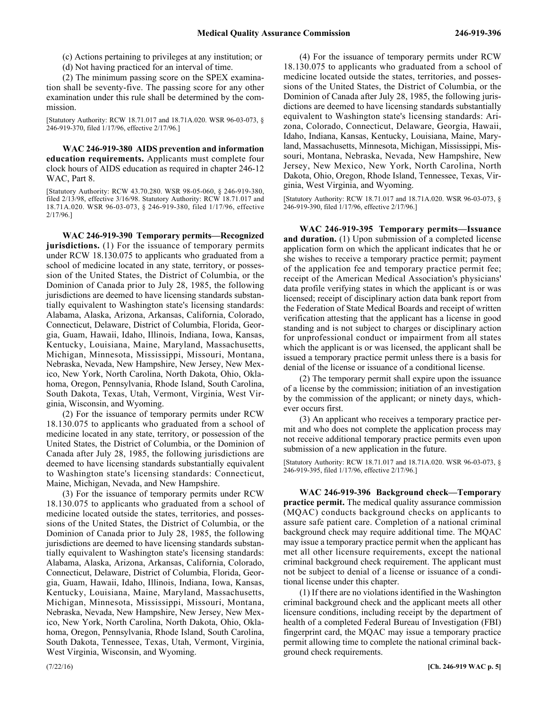(c) Actions pertaining to privileges at any institution; or

(d) Not having practiced for an interval of time.

(2) The minimum passing score on the SPEX examination shall be seventy-five. The passing score for any other examination under this rule shall be determined by the commission.

[Statutory Authority: RCW 18.71.017 and 18.71A.020. WSR 96-03-073, § 246-919-370, filed 1/17/96, effective 2/17/96.]

246-919-380 **WAC 246-919-380 AIDS prevention and information education requirements.** Applicants must complete four clock hours of AIDS education as required in chapter 246-12 WAC, Part 8.

[Statutory Authority: RCW 43.70.280. WSR 98-05-060, § 246-919-380, filed 2/13/98, effective 3/16/98. Statutory Authority: RCW 18.71.017 and 18.71A.020. WSR 96-03-073, § 246-919-380, filed 1/17/96, effective 2/17/96.]

246-919-390 **WAC 246-919-390 Temporary permits—Recognized jurisdictions.** (1) For the issuance of temporary permits under RCW 18.130.075 to applicants who graduated from a school of medicine located in any state, territory, or possession of the United States, the District of Columbia, or the Dominion of Canada prior to July 28, 1985, the following jurisdictions are deemed to have licensing standards substantially equivalent to Washington state's licensing standards: Alabama, Alaska, Arizona, Arkansas, California, Colorado, Connecticut, Delaware, District of Columbia, Florida, Georgia, Guam, Hawaii, Idaho, Illinois, Indiana, Iowa, Kansas, Kentucky, Louisiana, Maine, Maryland, Massachusetts, Michigan, Minnesota, Mississippi, Missouri, Montana, Nebraska, Nevada, New Hampshire, New Jersey, New Mexico, New York, North Carolina, North Dakota, Ohio, Oklahoma, Oregon, Pennsylvania, Rhode Island, South Carolina, South Dakota, Texas, Utah, Vermont, Virginia, West Virginia, Wisconsin, and Wyoming.

(2) For the issuance of temporary permits under RCW 18.130.075 to applicants who graduated from a school of medicine located in any state, territory, or possession of the United States, the District of Columbia, or the Dominion of Canada after July 28, 1985, the following jurisdictions are deemed to have licensing standards substantially equivalent to Washington state's licensing standards: Connecticut, Maine, Michigan, Nevada, and New Hampshire.

(3) For the issuance of temporary permits under RCW 18.130.075 to applicants who graduated from a school of medicine located outside the states, territories, and possessions of the United States, the District of Columbia, or the Dominion of Canada prior to July 28, 1985, the following jurisdictions are deemed to have licensing standards substantially equivalent to Washington state's licensing standards: Alabama, Alaska, Arizona, Arkansas, California, Colorado, Connecticut, Delaware, District of Columbia, Florida, Georgia, Guam, Hawaii, Idaho, Illinois, Indiana, Iowa, Kansas, Kentucky, Louisiana, Maine, Maryland, Massachusetts, Michigan, Minnesota, Mississippi, Missouri, Montana, Nebraska, Nevada, New Hampshire, New Jersey, New Mexico, New York, North Carolina, North Dakota, Ohio, Oklahoma, Oregon, Pennsylvania, Rhode Island, South Carolina, South Dakota, Tennessee, Texas, Utah, Vermont, Virginia, West Virginia, Wisconsin, and Wyoming.

(4) For the issuance of temporary permits under RCW 18.130.075 to applicants who graduated from a school of medicine located outside the states, territories, and possessions of the United States, the District of Columbia, or the Dominion of Canada after July 28, 1985, the following jurisdictions are deemed to have licensing standards substantially equivalent to Washington state's licensing standards: Arizona, Colorado, Connecticut, Delaware, Georgia, Hawaii, Idaho, Indiana, Kansas, Kentucky, Louisiana, Maine, Maryland, Massachusetts, Minnesota, Michigan, Mississippi, Missouri, Montana, Nebraska, Nevada, New Hampshire, New Jersey, New Mexico, New York, North Carolina, North Dakota, Ohio, Oregon, Rhode Island, Tennessee, Texas, Virginia, West Virginia, and Wyoming.

[Statutory Authority: RCW 18.71.017 and 18.71A.020. WSR 96-03-073, § 246-919-390, filed 1/17/96, effective 2/17/96.]

246-919-395 **WAC 246-919-395 Temporary permits—Issuance and duration.** (1) Upon submission of a completed license application form on which the applicant indicates that he or she wishes to receive a temporary practice permit; payment of the application fee and temporary practice permit fee; receipt of the American Medical Association's physicians' data profile verifying states in which the applicant is or was licensed; receipt of disciplinary action data bank report from the Federation of State Medical Boards and receipt of written verification attesting that the applicant has a license in good standing and is not subject to charges or disciplinary action for unprofessional conduct or impairment from all states which the applicant is or was licensed, the applicant shall be issued a temporary practice permit unless there is a basis for denial of the license or issuance of a conditional license.

(2) The temporary permit shall expire upon the issuance of a license by the commission; initiation of an investigation by the commission of the applicant; or ninety days, whichever occurs first.

(3) An applicant who receives a temporary practice permit and who does not complete the application process may not receive additional temporary practice permits even upon submission of a new application in the future.

[Statutory Authority: RCW 18.71.017 and 18.71A.020. WSR 96-03-073, § 246-919-395, filed 1/17/96, effective 2/17/96.]

246-919-396 **WAC 246-919-396 Background check—Temporary practice permit.** The medical quality assurance commission (MQAC) conducts background checks on applicants to assure safe patient care. Completion of a national criminal background check may require additional time. The MQAC may issue a temporary practice permit when the applicant has met all other licensure requirements, except the national criminal background check requirement. The applicant must not be subject to denial of a license or issuance of a conditional license under this chapter.

(1) If there are no violations identified in the Washington criminal background check and the applicant meets all other licensure conditions, including receipt by the department of health of a completed Federal Bureau of Investigation (FBI) fingerprint card, the MQAC may issue a temporary practice permit allowing time to complete the national criminal background check requirements.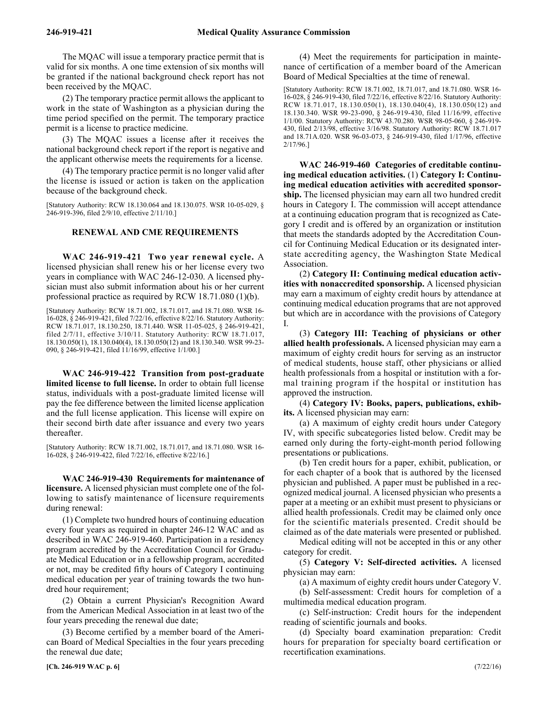The MQAC will issue a temporary practice permit that is valid for six months. A one time extension of six months will be granted if the national background check report has not been received by the MQAC.

(2) The temporary practice permit allows the applicant to work in the state of Washington as a physician during the time period specified on the permit. The temporary practice permit is a license to practice medicine.

(3) The MQAC issues a license after it receives the national background check report if the report is negative and the applicant otherwise meets the requirements for a license.

(4) The temporary practice permit is no longer valid after the license is issued or action is taken on the application because of the background check.

[Statutory Authority: RCW 18.130.064 and 18.130.075. WSR 10-05-029, § 246-919-396, filed 2/9/10, effective 2/11/10.]

# **RENEWAL AND CME REQUIREMENTS**

246-919-421 **WAC 246-919-421 Two year renewal cycle.** A licensed physician shall renew his or her license every two years in compliance with WAC 246-12-030. A licensed physician must also submit information about his or her current professional practice as required by RCW 18.71.080 (1)(b).

[Statutory Authority: RCW 18.71.002, 18.71.017, and 18.71.080. WSR 16- 16-028, § 246-919-421, filed 7/22/16, effective 8/22/16. Statutory Authority: RCW 18.71.017, 18.130.250, 18.71.440. WSR 11-05-025, § 246-919-421, filed 2/7/11, effective 3/10/11. Statutory Authority: RCW 18.71.017, 18.130.050(1), 18.130.040(4), 18.130.050(12) and 18.130.340. WSR 99-23- 090, § 246-919-421, filed 11/16/99, effective 1/1/00.]

246-919-422 **WAC 246-919-422 Transition from post-graduate limited license to full license.** In order to obtain full license status, individuals with a post-graduate limited license will pay the fee difference between the limited license application and the full license application. This license will expire on their second birth date after issuance and every two years thereafter.

[Statutory Authority: RCW 18.71.002, 18.71.017, and 18.71.080. WSR 16- 16-028, § 246-919-422, filed 7/22/16, effective 8/22/16.]

246-919-430 **WAC 246-919-430 Requirements for maintenance of licensure.** A licensed physician must complete one of the following to satisfy maintenance of licensure requirements during renewal:

(1) Complete two hundred hours of continuing education every four years as required in chapter 246-12 WAC and as described in WAC 246-919-460. Participation in a residency program accredited by the Accreditation Council for Graduate Medical Education or in a fellowship program, accredited or not, may be credited fifty hours of Category I continuing medical education per year of training towards the two hundred hour requirement;

(2) Obtain a current Physician's Recognition Award from the American Medical Association in at least two of the four years preceding the renewal due date;

(3) Become certified by a member board of the American Board of Medical Specialties in the four years preceding the renewal due date;

**[Ch. 246-919 WAC p. 6]** (7/22/16)

(4) Meet the requirements for participation in maintenance of certification of a member board of the American Board of Medical Specialties at the time of renewal.

[Statutory Authority: RCW 18.71.002, 18.71.017, and 18.71.080. WSR 16- 16-028, § 246-919-430, filed 7/22/16, effective 8/22/16. Statutory Authority: RCW 18.71.017, 18.130.050(1), 18.130.040(4), 18.130.050(12) and 18.130.340. WSR 99-23-090, § 246-919-430, filed 11/16/99, effective 1/1/00. Statutory Authority: RCW 43.70.280. WSR 98-05-060, § 246-919- 430, filed 2/13/98, effective 3/16/98. Statutory Authority: RCW 18.71.017 and 18.71A.020. WSR 96-03-073, § 246-919-430, filed 1/17/96, effective 2/17/96.]

246-919-460 **WAC 246-919-460 Categories of creditable continuing medical education activities.** (1) **Category I: Continuing medical education activities with accredited sponsorship.** The licensed physician may earn all two hundred credit hours in Category I. The commission will accept attendance at a continuing education program that is recognized as Category I credit and is offered by an organization or institution that meets the standards adopted by the Accreditation Council for Continuing Medical Education or its designated interstate accrediting agency, the Washington State Medical Association.

(2) **Category II: Continuing medical education activities with nonaccredited sponsorship.** A licensed physician may earn a maximum of eighty credit hours by attendance at continuing medical education programs that are not approved but which are in accordance with the provisions of Category I.

(3) **Category III: Teaching of physicians or other allied health professionals.** A licensed physician may earn a maximum of eighty credit hours for serving as an instructor of medical students, house staff, other physicians or allied health professionals from a hospital or institution with a formal training program if the hospital or institution has approved the instruction.

(4) **Category IV: Books, papers, publications, exhibits.** A licensed physician may earn:

(a) A maximum of eighty credit hours under Category IV, with specific subcategories listed below. Credit may be earned only during the forty-eight-month period following presentations or publications.

(b) Ten credit hours for a paper, exhibit, publication, or for each chapter of a book that is authored by the licensed physician and published. A paper must be published in a recognized medical journal. A licensed physician who presents a paper at a meeting or an exhibit must present to physicians or allied health professionals. Credit may be claimed only once for the scientific materials presented. Credit should be claimed as of the date materials were presented or published.

Medical editing will not be accepted in this or any other category for credit.

(5) **Category V: Self-directed activities.** A licensed physician may earn:

(a) A maximum of eighty credit hours under Category V.

(b) Self-assessment: Credit hours for completion of a multimedia medical education program.

(c) Self-instruction: Credit hours for the independent reading of scientific journals and books.

(d) Specialty board examination preparation: Credit hours for preparation for specialty board certification or recertification examinations.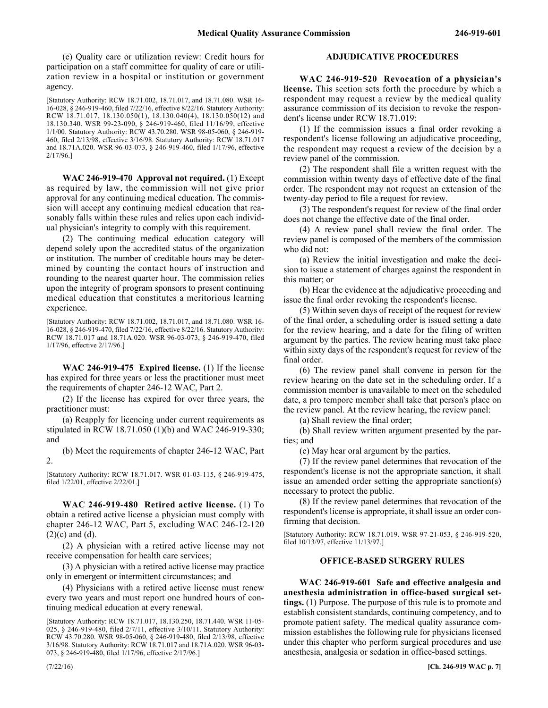(e) Quality care or utilization review: Credit hours for participation on a staff committee for quality of care or utilization review in a hospital or institution or government agency.

[Statutory Authority: RCW 18.71.002, 18.71.017, and 18.71.080. WSR 16- 16-028, § 246-919-460, filed 7/22/16, effective 8/22/16. Statutory Authority: RCW 18.71.017, 18.130.050(1), 18.130.040(4), 18.130.050(12) and 18.130.340. WSR 99-23-090, § 246-919-460, filed 11/16/99, effective 1/1/00. Statutory Authority: RCW 43.70.280. WSR 98-05-060, § 246-919- 460, filed 2/13/98, effective 3/16/98. Statutory Authority: RCW 18.71.017 and 18.71A.020. WSR 96-03-073, § 246-919-460, filed 1/17/96, effective 2/17/96.]

246-919-470 **WAC 246-919-470 Approval not required.** (1) Except as required by law, the commission will not give prior approval for any continuing medical education. The commission will accept any continuing medical education that reasonably falls within these rules and relies upon each individual physician's integrity to comply with this requirement.

(2) The continuing medical education category will depend solely upon the accredited status of the organization or institution. The number of creditable hours may be determined by counting the contact hours of instruction and rounding to the nearest quarter hour. The commission relies upon the integrity of program sponsors to present continuing medical education that constitutes a meritorious learning experience.

[Statutory Authority: RCW 18.71.002, 18.71.017, and 18.71.080. WSR 16- 16-028, § 246-919-470, filed 7/22/16, effective 8/22/16. Statutory Authority: RCW 18.71.017 and 18.71A.020. WSR 96-03-073, § 246-919-470, filed 1/17/96, effective 2/17/96.]

246-919-475 **WAC 246-919-475 Expired license.** (1) If the license has expired for three years or less the practitioner must meet the requirements of chapter 246-12 WAC, Part 2.

(2) If the license has expired for over three years, the practitioner must:

(a) Reapply for licencing under current requirements as stipulated in RCW 18.71.050 (1)(b) and WAC 246-919-330; and

(b) Meet the requirements of chapter 246-12 WAC, Part 2.

[Statutory Authority: RCW 18.71.017. WSR 01-03-115, § 246-919-475, filed 1/22/01, effective 2/22/01.]

246-919-480 **WAC 246-919-480 Retired active license.** (1) To obtain a retired active license a physician must comply with chapter 246-12 WAC, Part 5, excluding WAC 246-12-120  $(2)(c)$  and  $(d)$ .

(2) A physician with a retired active license may not receive compensation for health care services;

(3) A physician with a retired active license may practice only in emergent or intermittent circumstances; and

(4) Physicians with a retired active license must renew every two years and must report one hundred hours of continuing medical education at every renewal.

[Statutory Authority: RCW 18.71.017, 18.130.250, 18.71.440. WSR 11-05- 025, § 246-919-480, filed 2/7/11, effective 3/10/11. Statutory Authority: RCW 43.70.280. WSR 98-05-060, § 246-919-480, filed 2/13/98, effective 3/16/98. Statutory Authority: RCW 18.71.017 and 18.71A.020. WSR 96-03- 073, § 246-919-480, filed 1/17/96, effective 2/17/96.]

# **ADJUDICATIVE PROCEDURES**

246-919-520 **WAC 246-919-520 Revocation of a physician's license.** This section sets forth the procedure by which a respondent may request a review by the medical quality assurance commission of its decision to revoke the respondent's license under RCW 18.71.019:

(1) If the commission issues a final order revoking a respondent's license following an adjudicative proceeding, the respondent may request a review of the decision by a review panel of the commission.

(2) The respondent shall file a written request with the commission within twenty days of effective date of the final order. The respondent may not request an extension of the twenty-day period to file a request for review.

(3) The respondent's request for review of the final order does not change the effective date of the final order.

(4) A review panel shall review the final order. The review panel is composed of the members of the commission who did not:

(a) Review the initial investigation and make the decision to issue a statement of charges against the respondent in this matter; or

(b) Hear the evidence at the adjudicative proceeding and issue the final order revoking the respondent's license.

(5) Within seven days of receipt of the request for review of the final order, a scheduling order is issued setting a date for the review hearing, and a date for the filing of written argument by the parties. The review hearing must take place within sixty days of the respondent's request for review of the final order.

(6) The review panel shall convene in person for the review hearing on the date set in the scheduling order. If a commission member is unavailable to meet on the scheduled date, a pro tempore member shall take that person's place on the review panel. At the review hearing, the review panel:

(a) Shall review the final order;

(b) Shall review written argument presented by the parties; and

(c) May hear oral argument by the parties.

(7) If the review panel determines that revocation of the respondent's license is not the appropriate sanction, it shall issue an amended order setting the appropriate sanction(s) necessary to protect the public.

(8) If the review panel determines that revocation of the respondent's license is appropriate, it shall issue an order confirming that decision.

[Statutory Authority: RCW 18.71.019. WSR 97-21-053, § 246-919-520, filed 10/13/97, effective 11/13/97.]

# **OFFICE-BASED SURGERY RULES**

246-919-601 **WAC 246-919-601 Safe and effective analgesia and anesthesia administration in office-based surgical settings.** (1) Purpose. The purpose of this rule is to promote and establish consistent standards, continuing competency, and to promote patient safety. The medical quality assurance commission establishes the following rule for physicians licensed under this chapter who perform surgical procedures and use anesthesia, analgesia or sedation in office-based settings.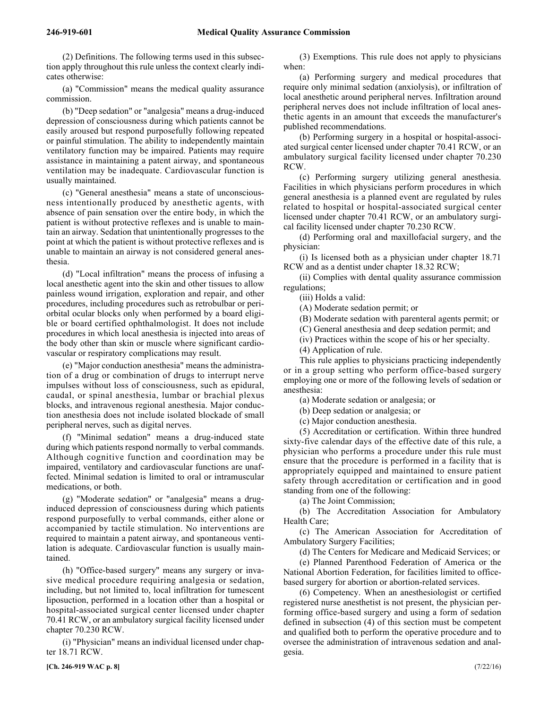(2) Definitions. The following terms used in this subsection apply throughout this rule unless the context clearly indicates otherwise:

(a) "Commission" means the medical quality assurance commission.

(b) "Deep sedation" or "analgesia" means a drug-induced depression of consciousness during which patients cannot be easily aroused but respond purposefully following repeated or painful stimulation. The ability to independently maintain ventilatory function may be impaired. Patients may require assistance in maintaining a patent airway, and spontaneous ventilation may be inadequate. Cardiovascular function is usually maintained.

(c) "General anesthesia" means a state of unconsciousness intentionally produced by anesthetic agents, with absence of pain sensation over the entire body, in which the patient is without protective reflexes and is unable to maintain an airway. Sedation that unintentionally progresses to the point at which the patient is without protective reflexes and is unable to maintain an airway is not considered general anesthesia.

(d) "Local infiltration" means the process of infusing a local anesthetic agent into the skin and other tissues to allow painless wound irrigation, exploration and repair, and other procedures, including procedures such as retrobulbar or periorbital ocular blocks only when performed by a board eligible or board certified ophthalmologist. It does not include procedures in which local anesthesia is injected into areas of the body other than skin or muscle where significant cardiovascular or respiratory complications may result.

(e) "Major conduction anesthesia" means the administration of a drug or combination of drugs to interrupt nerve impulses without loss of consciousness, such as epidural, caudal, or spinal anesthesia, lumbar or brachial plexus blocks, and intravenous regional anesthesia. Major conduction anesthesia does not include isolated blockade of small peripheral nerves, such as digital nerves.

(f) "Minimal sedation" means a drug-induced state during which patients respond normally to verbal commands. Although cognitive function and coordination may be impaired, ventilatory and cardiovascular functions are unaffected. Minimal sedation is limited to oral or intramuscular medications, or both.

(g) "Moderate sedation" or "analgesia" means a druginduced depression of consciousness during which patients respond purposefully to verbal commands, either alone or accompanied by tactile stimulation. No interventions are required to maintain a patent airway, and spontaneous ventilation is adequate. Cardiovascular function is usually maintained.

(h) "Office-based surgery" means any surgery or invasive medical procedure requiring analgesia or sedation, including, but not limited to, local infiltration for tumescent liposuction, performed in a location other than a hospital or hospital-associated surgical center licensed under chapter 70.41 RCW, or an ambulatory surgical facility licensed under chapter 70.230 RCW.

(i) "Physician" means an individual licensed under chapter 18.71 RCW.

(3) Exemptions. This rule does not apply to physicians when:

(a) Performing surgery and medical procedures that require only minimal sedation (anxiolysis), or infiltration of local anesthetic around peripheral nerves. Infiltration around peripheral nerves does not include infiltration of local anesthetic agents in an amount that exceeds the manufacturer's published recommendations.

(b) Performing surgery in a hospital or hospital-associated surgical center licensed under chapter 70.41 RCW, or an ambulatory surgical facility licensed under chapter 70.230 RCW.

(c) Performing surgery utilizing general anesthesia. Facilities in which physicians perform procedures in which general anesthesia is a planned event are regulated by rules related to hospital or hospital-associated surgical center licensed under chapter 70.41 RCW, or an ambulatory surgical facility licensed under chapter 70.230 RCW.

(d) Performing oral and maxillofacial surgery, and the physician:

(i) Is licensed both as a physician under chapter 18.71 RCW and as a dentist under chapter 18.32 RCW;

(ii) Complies with dental quality assurance commission regulations;

(iii) Holds a valid:

(A) Moderate sedation permit; or

(B) Moderate sedation with parenteral agents permit; or

(C) General anesthesia and deep sedation permit; and

(iv) Practices within the scope of his or her specialty.

(4) Application of rule.

This rule applies to physicians practicing independently or in a group setting who perform office-based surgery employing one or more of the following levels of sedation or anesthesia:

(a) Moderate sedation or analgesia; or

(b) Deep sedation or analgesia; or

(c) Major conduction anesthesia.

(5) Accreditation or certification. Within three hundred sixty-five calendar days of the effective date of this rule, a physician who performs a procedure under this rule must ensure that the procedure is performed in a facility that is appropriately equipped and maintained to ensure patient safety through accreditation or certification and in good standing from one of the following:

(a) The Joint Commission;

(b) The Accreditation Association for Ambulatory Health Care;

(c) The American Association for Accreditation of Ambulatory Surgery Facilities;

(d) The Centers for Medicare and Medicaid Services; or

(e) Planned Parenthood Federation of America or the National Abortion Federation, for facilities limited to officebased surgery for abortion or abortion-related services.

(6) Competency. When an anesthesiologist or certified registered nurse anesthetist is not present, the physician performing office-based surgery and using a form of sedation defined in subsection (4) of this section must be competent and qualified both to perform the operative procedure and to oversee the administration of intravenous sedation and analgesia.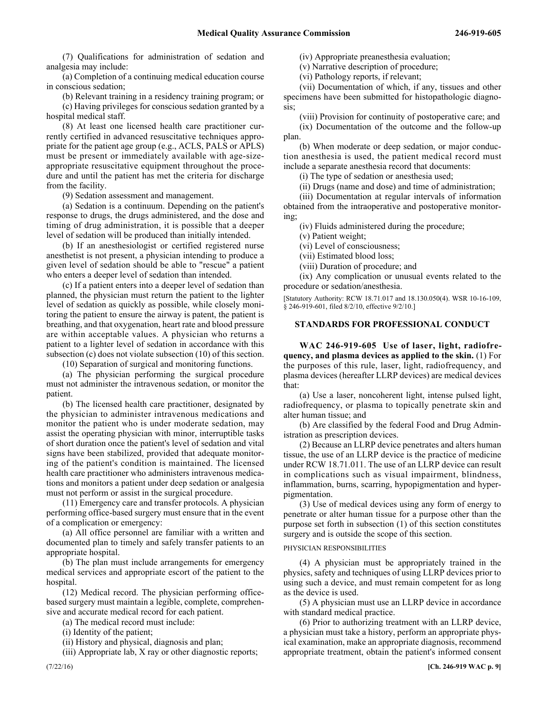(7) Qualifications for administration of sedation and analgesia may include:

(a) Completion of a continuing medical education course in conscious sedation;

(b) Relevant training in a residency training program; or

(c) Having privileges for conscious sedation granted by a hospital medical staff.

(8) At least one licensed health care practitioner currently certified in advanced resuscitative techniques appropriate for the patient age group (e.g., ACLS, PALS or APLS) must be present or immediately available with age-sizeappropriate resuscitative equipment throughout the procedure and until the patient has met the criteria for discharge from the facility.

(9) Sedation assessment and management.

(a) Sedation is a continuum. Depending on the patient's response to drugs, the drugs administered, and the dose and timing of drug administration, it is possible that a deeper level of sedation will be produced than initially intended.

(b) If an anesthesiologist or certified registered nurse anesthetist is not present, a physician intending to produce a given level of sedation should be able to "rescue" a patient who enters a deeper level of sedation than intended.

(c) If a patient enters into a deeper level of sedation than planned, the physician must return the patient to the lighter level of sedation as quickly as possible, while closely monitoring the patient to ensure the airway is patent, the patient is breathing, and that oxygenation, heart rate and blood pressure are within acceptable values. A physician who returns a patient to a lighter level of sedation in accordance with this subsection (c) does not violate subsection (10) of this section.

(10) Separation of surgical and monitoring functions.

(a) The physician performing the surgical procedure must not administer the intravenous sedation, or monitor the patient.

(b) The licensed health care practitioner, designated by the physician to administer intravenous medications and monitor the patient who is under moderate sedation, may assist the operating physician with minor, interruptible tasks of short duration once the patient's level of sedation and vital signs have been stabilized, provided that adequate monitoring of the patient's condition is maintained. The licensed health care practitioner who administers intravenous medications and monitors a patient under deep sedation or analgesia must not perform or assist in the surgical procedure.

(11) Emergency care and transfer protocols. A physician performing office-based surgery must ensure that in the event of a complication or emergency:

(a) All office personnel are familiar with a written and documented plan to timely and safely transfer patients to an appropriate hospital.

(b) The plan must include arrangements for emergency medical services and appropriate escort of the patient to the hospital.

(12) Medical record. The physician performing officebased surgery must maintain a legible, complete, comprehensive and accurate medical record for each patient.

(a) The medical record must include:

(i) Identity of the patient;

(ii) History and physical, diagnosis and plan;

(iii) Appropriate lab, X ray or other diagnostic reports;

(iv) Appropriate preanesthesia evaluation;

(v) Narrative description of procedure;

(vi) Pathology reports, if relevant;

(vii) Documentation of which, if any, tissues and other specimens have been submitted for histopathologic diagnosis;

(viii) Provision for continuity of postoperative care; and

(ix) Documentation of the outcome and the follow-up plan.

(b) When moderate or deep sedation, or major conduction anesthesia is used, the patient medical record must include a separate anesthesia record that documents:

(i) The type of sedation or anesthesia used;

(ii) Drugs (name and dose) and time of administration;

(iii) Documentation at regular intervals of information obtained from the intraoperative and postoperative monitoring;

(iv) Fluids administered during the procedure;

(v) Patient weight;

(vi) Level of consciousness;

(vii) Estimated blood loss;

(viii) Duration of procedure; and

(ix) Any complication or unusual events related to the procedure or sedation/anesthesia.

[Statutory Authority: RCW 18.71.017 and 18.130.050(4). WSR 10-16-109, § 246-919-601, filed 8/2/10, effective 9/2/10.]

# **STANDARDS FOR PROFESSIONAL CONDUCT**

246-919-605 **WAC 246-919-605 Use of laser, light, radiofrequency, and plasma devices as applied to the skin.** (1) For the purposes of this rule, laser, light, radiofrequency, and plasma devices (hereafter LLRP devices) are medical devices that:

(a) Use a laser, noncoherent light, intense pulsed light, radiofrequency, or plasma to topically penetrate skin and alter human tissue; and

(b) Are classified by the federal Food and Drug Administration as prescription devices.

(2) Because an LLRP device penetrates and alters human tissue, the use of an LLRP device is the practice of medicine under RCW 18.71.011. The use of an LLRP device can result in complications such as visual impairment, blindness, inflammation, burns, scarring, hypopigmentation and hyperpigmentation.

(3) Use of medical devices using any form of energy to penetrate or alter human tissue for a purpose other than the purpose set forth in subsection (1) of this section constitutes surgery and is outside the scope of this section.

# PHYSICIAN RESPONSIBILITIES

(4) A physician must be appropriately trained in the physics, safety and techniques of using LLRP devices prior to using such a device, and must remain competent for as long as the device is used.

(5) A physician must use an LLRP device in accordance with standard medical practice.

(6) Prior to authorizing treatment with an LLRP device, a physician must take a history, perform an appropriate physical examination, make an appropriate diagnosis, recommend appropriate treatment, obtain the patient's informed consent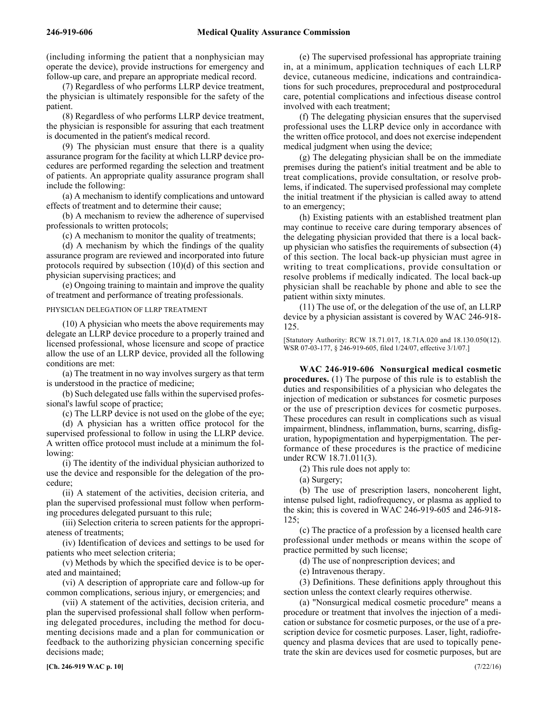(including informing the patient that a nonphysician may operate the device), provide instructions for emergency and follow-up care, and prepare an appropriate medical record.

(7) Regardless of who performs LLRP device treatment, the physician is ultimately responsible for the safety of the patient.

(8) Regardless of who performs LLRP device treatment, the physician is responsible for assuring that each treatment is documented in the patient's medical record.

(9) The physician must ensure that there is a quality assurance program for the facility at which LLRP device procedures are performed regarding the selection and treatment of patients. An appropriate quality assurance program shall include the following:

(a) A mechanism to identify complications and untoward effects of treatment and to determine their cause;

(b) A mechanism to review the adherence of supervised professionals to written protocols;

(c) A mechanism to monitor the quality of treatments;

(d) A mechanism by which the findings of the quality assurance program are reviewed and incorporated into future protocols required by subsection (10)(d) of this section and physician supervising practices; and

(e) Ongoing training to maintain and improve the quality of treatment and performance of treating professionals.

PHYSICIAN DELEGATION OF LLRP TREATMENT

(10) A physician who meets the above requirements may delegate an LLRP device procedure to a properly trained and licensed professional, whose licensure and scope of practice allow the use of an LLRP device, provided all the following conditions are met:

(a) The treatment in no way involves surgery as that term is understood in the practice of medicine;

(b) Such delegated use falls within the supervised professional's lawful scope of practice;

(c) The LLRP device is not used on the globe of the eye;

(d) A physician has a written office protocol for the supervised professional to follow in using the LLRP device. A written office protocol must include at a minimum the following:

(i) The identity of the individual physician authorized to use the device and responsible for the delegation of the procedure;

(ii) A statement of the activities, decision criteria, and plan the supervised professional must follow when performing procedures delegated pursuant to this rule;

(iii) Selection criteria to screen patients for the appropriateness of treatments;

(iv) Identification of devices and settings to be used for patients who meet selection criteria;

(v) Methods by which the specified device is to be operated and maintained;

(vi) A description of appropriate care and follow-up for common complications, serious injury, or emergencies; and

(vii) A statement of the activities, decision criteria, and plan the supervised professional shall follow when performing delegated procedures, including the method for documenting decisions made and a plan for communication or feedback to the authorizing physician concerning specific decisions made;

(e) The supervised professional has appropriate training in, at a minimum, application techniques of each LLRP device, cutaneous medicine, indications and contraindications for such procedures, preprocedural and postprocedural care, potential complications and infectious disease control involved with each treatment;

(f) The delegating physician ensures that the supervised professional uses the LLRP device only in accordance with the written office protocol, and does not exercise independent medical judgment when using the device;

(g) The delegating physician shall be on the immediate premises during the patient's initial treatment and be able to treat complications, provide consultation, or resolve problems, if indicated. The supervised professional may complete the initial treatment if the physician is called away to attend to an emergency;

(h) Existing patients with an established treatment plan may continue to receive care during temporary absences of the delegating physician provided that there is a local backup physician who satisfies the requirements of subsection (4) of this section. The local back-up physician must agree in writing to treat complications, provide consultation or resolve problems if medically indicated. The local back-up physician shall be reachable by phone and able to see the patient within sixty minutes.

(11) The use of, or the delegation of the use of, an LLRP device by a physician assistant is covered by WAC 246-918- 125.

[Statutory Authority: RCW 18.71.017, 18.71A.020 and 18.130.050(12). WSR 07-03-177, § 246-919-605, filed 1/24/07, effective 3/1/07.]

246-919-606 **WAC 246-919-606 Nonsurgical medical cosmetic procedures.** (1) The purpose of this rule is to establish the duties and responsibilities of a physician who delegates the injection of medication or substances for cosmetic purposes or the use of prescription devices for cosmetic purposes. These procedures can result in complications such as visual impairment, blindness, inflammation, burns, scarring, disfiguration, hypopigmentation and hyperpigmentation. The performance of these procedures is the practice of medicine under RCW 18.71.011(3).

(2) This rule does not apply to:

(a) Surgery;

(b) The use of prescription lasers, noncoherent light, intense pulsed light, radiofrequency, or plasma as applied to the skin; this is covered in WAC 246-919-605 and 246-918- 125;

(c) The practice of a profession by a licensed health care professional under methods or means within the scope of practice permitted by such license;

(d) The use of nonprescription devices; and

(e) Intravenous therapy.

(3) Definitions. These definitions apply throughout this section unless the context clearly requires otherwise.

(a) "Nonsurgical medical cosmetic procedure" means a procedure or treatment that involves the injection of a medication or substance for cosmetic purposes, or the use of a prescription device for cosmetic purposes. Laser, light, radiofrequency and plasma devices that are used to topically penetrate the skin are devices used for cosmetic purposes, but are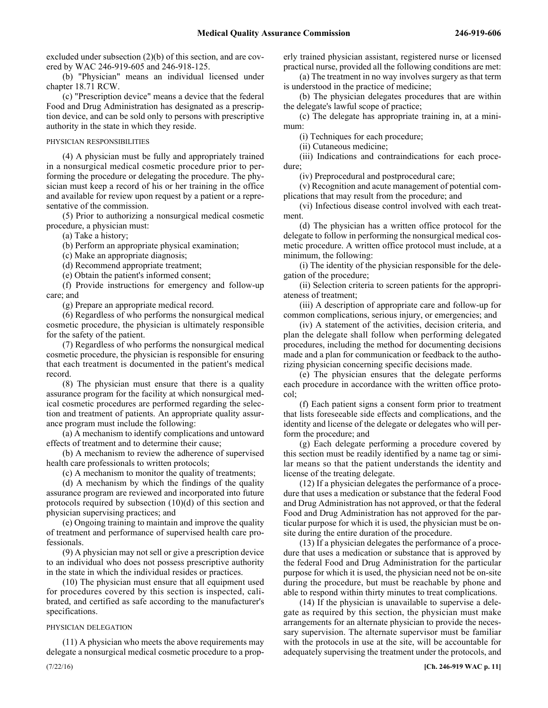excluded under subsection (2)(b) of this section, and are covered by WAC 246-919-605 and 246-918-125.

(b) "Physician" means an individual licensed under chapter 18.71 RCW.

(c) "Prescription device" means a device that the federal Food and Drug Administration has designated as a prescription device, and can be sold only to persons with prescriptive authority in the state in which they reside.

#### PHYSICIAN RESPONSIBILITIES

(4) A physician must be fully and appropriately trained in a nonsurgical medical cosmetic procedure prior to performing the procedure or delegating the procedure. The physician must keep a record of his or her training in the office and available for review upon request by a patient or a representative of the commission.

(5) Prior to authorizing a nonsurgical medical cosmetic procedure, a physician must:

(a) Take a history;

(b) Perform an appropriate physical examination;

(c) Make an appropriate diagnosis;

(d) Recommend appropriate treatment;

(e) Obtain the patient's informed consent;

(f) Provide instructions for emergency and follow-up care; and

(g) Prepare an appropriate medical record.

(6) Regardless of who performs the nonsurgical medical cosmetic procedure, the physician is ultimately responsible for the safety of the patient.

(7) Regardless of who performs the nonsurgical medical cosmetic procedure, the physician is responsible for ensuring that each treatment is documented in the patient's medical record.

(8) The physician must ensure that there is a quality assurance program for the facility at which nonsurgical medical cosmetic procedures are performed regarding the selection and treatment of patients. An appropriate quality assurance program must include the following:

(a) A mechanism to identify complications and untoward effects of treatment and to determine their cause;

(b) A mechanism to review the adherence of supervised health care professionals to written protocols;

(c) A mechanism to monitor the quality of treatments;

(d) A mechanism by which the findings of the quality assurance program are reviewed and incorporated into future protocols required by subsection (10)(d) of this section and physician supervising practices; and

(e) Ongoing training to maintain and improve the quality of treatment and performance of supervised health care professionals.

(9) A physician may not sell or give a prescription device to an individual who does not possess prescriptive authority in the state in which the individual resides or practices.

(10) The physician must ensure that all equipment used for procedures covered by this section is inspected, calibrated, and certified as safe according to the manufacturer's specifications.

#### PHYSICIAN DELEGATION

(11) A physician who meets the above requirements may delegate a nonsurgical medical cosmetic procedure to a properly trained physician assistant, registered nurse or licensed practical nurse, provided all the following conditions are met:

(a) The treatment in no way involves surgery as that term is understood in the practice of medicine;

(b) The physician delegates procedures that are within the delegate's lawful scope of practice;

(c) The delegate has appropriate training in, at a minimum:

(i) Techniques for each procedure;

(ii) Cutaneous medicine;

(iii) Indications and contraindications for each procedure;

(iv) Preprocedural and postprocedural care;

(v) Recognition and acute management of potential complications that may result from the procedure; and

(vi) Infectious disease control involved with each treatment.

(d) The physician has a written office protocol for the delegate to follow in performing the nonsurgical medical cosmetic procedure. A written office protocol must include, at a minimum, the following:

(i) The identity of the physician responsible for the delegation of the procedure;

(ii) Selection criteria to screen patients for the appropriateness of treatment;

(iii) A description of appropriate care and follow-up for common complications, serious injury, or emergencies; and

(iv) A statement of the activities, decision criteria, and plan the delegate shall follow when performing delegated procedures, including the method for documenting decisions made and a plan for communication or feedback to the authorizing physician concerning specific decisions made.

(e) The physician ensures that the delegate performs each procedure in accordance with the written office protocol;

(f) Each patient signs a consent form prior to treatment that lists foreseeable side effects and complications, and the identity and license of the delegate or delegates who will perform the procedure; and

(g) Each delegate performing a procedure covered by this section must be readily identified by a name tag or similar means so that the patient understands the identity and license of the treating delegate.

(12) If a physician delegates the performance of a procedure that uses a medication or substance that the federal Food and Drug Administration has not approved, or that the federal Food and Drug Administration has not approved for the particular purpose for which it is used, the physician must be onsite during the entire duration of the procedure.

(13) If a physician delegates the performance of a procedure that uses a medication or substance that is approved by the federal Food and Drug Administration for the particular purpose for which it is used, the physician need not be on-site during the procedure, but must be reachable by phone and able to respond within thirty minutes to treat complications.

(14) If the physician is unavailable to supervise a delegate as required by this section, the physician must make arrangements for an alternate physician to provide the necessary supervision. The alternate supervisor must be familiar with the protocols in use at the site, will be accountable for adequately supervising the treatment under the protocols, and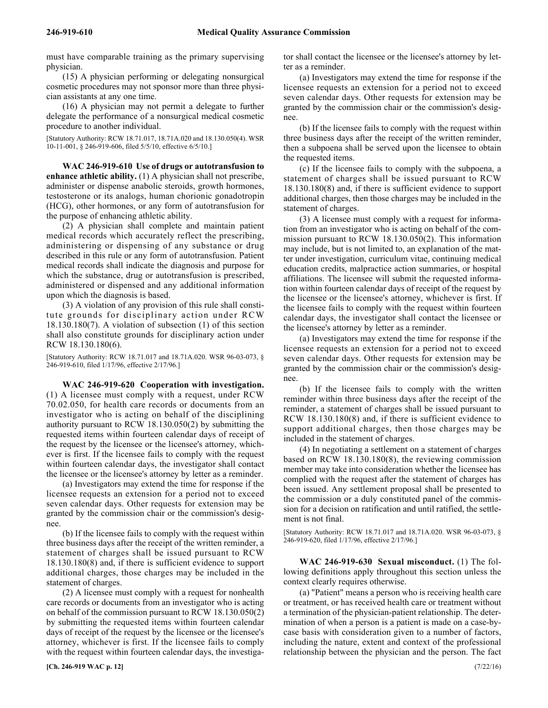must have comparable training as the primary supervising physician.

(15) A physician performing or delegating nonsurgical cosmetic procedures may not sponsor more than three physician assistants at any one time.

(16) A physician may not permit a delegate to further delegate the performance of a nonsurgical medical cosmetic procedure to another individual.

[Statutory Authority: RCW 18.71.017, 18.71A.020 and 18.130.050(4). WSR 10-11-001, § 246-919-606, filed 5/5/10, effective 6/5/10.]

246-919-610 **WAC 246-919-610 Use of drugs or autotransfusion to enhance athletic ability.** (1) A physician shall not prescribe, administer or dispense anabolic steroids, growth hormones, testosterone or its analogs, human chorionic gonadotropin (HCG), other hormones, or any form of autotransfusion for the purpose of enhancing athletic ability.

(2) A physician shall complete and maintain patient medical records which accurately reflect the prescribing, administering or dispensing of any substance or drug described in this rule or any form of autotransfusion. Patient medical records shall indicate the diagnosis and purpose for which the substance, drug or autotransfusion is prescribed, administered or dispensed and any additional information upon which the diagnosis is based.

(3) A violation of any provision of this rule shall constitute grounds for disciplinary action under RCW 18.130.180(7). A violation of subsection (1) of this section shall also constitute grounds for disciplinary action under RCW 18.130.180(6).

[Statutory Authority: RCW 18.71.017 and 18.71A.020. WSR 96-03-073, § 246-919-610, filed 1/17/96, effective 2/17/96.]

246-919-620 **WAC 246-919-620 Cooperation with investigation.** (1) A licensee must comply with a request, under RCW 70.02.050, for health care records or documents from an investigator who is acting on behalf of the disciplining authority pursuant to RCW 18.130.050(2) by submitting the requested items within fourteen calendar days of receipt of the request by the licensee or the licensee's attorney, whichever is first. If the licensee fails to comply with the request within fourteen calendar days, the investigator shall contact the licensee or the licensee's attorney by letter as a reminder.

(a) Investigators may extend the time for response if the licensee requests an extension for a period not to exceed seven calendar days. Other requests for extension may be granted by the commission chair or the commission's designee.

(b) If the licensee fails to comply with the request within three business days after the receipt of the written reminder, a statement of charges shall be issued pursuant to RCW 18.130.180(8) and, if there is sufficient evidence to support additional charges, those charges may be included in the statement of charges.

(2) A licensee must comply with a request for nonhealth care records or documents from an investigator who is acting on behalf of the commission pursuant to RCW 18.130.050(2) by submitting the requested items within fourteen calendar days of receipt of the request by the licensee or the licensee's attorney, whichever is first. If the licensee fails to comply with the request within fourteen calendar days, the investigator shall contact the licensee or the licensee's attorney by letter as a reminder.

(a) Investigators may extend the time for response if the licensee requests an extension for a period not to exceed seven calendar days. Other requests for extension may be granted by the commission chair or the commission's designee.

(b) If the licensee fails to comply with the request within three business days after the receipt of the written reminder, then a subpoena shall be served upon the licensee to obtain the requested items.

(c) If the licensee fails to comply with the subpoena, a statement of charges shall be issued pursuant to RCW 18.130.180(8) and, if there is sufficient evidence to support additional charges, then those charges may be included in the statement of charges.

(3) A licensee must comply with a request for information from an investigator who is acting on behalf of the commission pursuant to RCW 18.130.050(2). This information may include, but is not limited to, an explanation of the matter under investigation, curriculum vitae, continuing medical education credits, malpractice action summaries, or hospital affiliations. The licensee will submit the requested information within fourteen calendar days of receipt of the request by the licensee or the licensee's attorney, whichever is first. If the licensee fails to comply with the request within fourteen calendar days, the investigator shall contact the licensee or the licensee's attorney by letter as a reminder.

(a) Investigators may extend the time for response if the licensee requests an extension for a period not to exceed seven calendar days. Other requests for extension may be granted by the commission chair or the commission's designee.

(b) If the licensee fails to comply with the written reminder within three business days after the receipt of the reminder, a statement of charges shall be issued pursuant to RCW 18.130.180(8) and, if there is sufficient evidence to support additional charges, then those charges may be included in the statement of charges.

(4) In negotiating a settlement on a statement of charges based on RCW 18.130.180(8), the reviewing commission member may take into consideration whether the licensee has complied with the request after the statement of charges has been issued. Any settlement proposal shall be presented to the commission or a duly constituted panel of the commission for a decision on ratification and until ratified, the settlement is not final.

[Statutory Authority: RCW 18.71.017 and 18.71A.020. WSR 96-03-073, § 246-919-620, filed 1/17/96, effective 2/17/96.]

246-919-630 **WAC 246-919-630 Sexual misconduct.** (1) The following definitions apply throughout this section unless the context clearly requires otherwise.

(a) "Patient" means a person who is receiving health care or treatment, or has received health care or treatment without a termination of the physician-patient relationship. The determination of when a person is a patient is made on a case-bycase basis with consideration given to a number of factors, including the nature, extent and context of the professional relationship between the physician and the person. The fact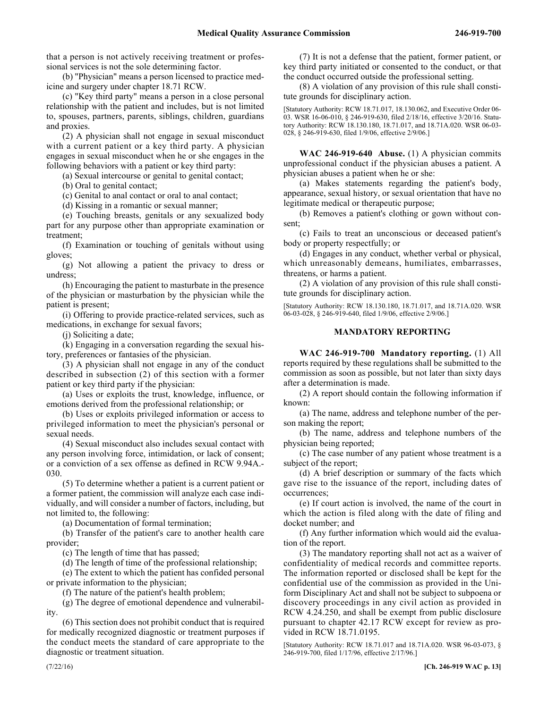that a person is not actively receiving treatment or professional services is not the sole determining factor.

(b) "Physician" means a person licensed to practice medicine and surgery under chapter 18.71 RCW.

(c) "Key third party" means a person in a close personal relationship with the patient and includes, but is not limited to, spouses, partners, parents, siblings, children, guardians and proxies.

(2) A physician shall not engage in sexual misconduct with a current patient or a key third party. A physician engages in sexual misconduct when he or she engages in the following behaviors with a patient or key third party:

(a) Sexual intercourse or genital to genital contact;

(b) Oral to genital contact;

(c) Genital to anal contact or oral to anal contact;

(d) Kissing in a romantic or sexual manner;

(e) Touching breasts, genitals or any sexualized body part for any purpose other than appropriate examination or treatment;

(f) Examination or touching of genitals without using gloves;

(g) Not allowing a patient the privacy to dress or undress;

(h) Encouraging the patient to masturbate in the presence of the physician or masturbation by the physician while the patient is present;

(i) Offering to provide practice-related services, such as medications, in exchange for sexual favors;

(j) Soliciting a date;

(k) Engaging in a conversation regarding the sexual history, preferences or fantasies of the physician.

(3) A physician shall not engage in any of the conduct described in subsection (2) of this section with a former patient or key third party if the physician:

(a) Uses or exploits the trust, knowledge, influence, or emotions derived from the professional relationship; or

(b) Uses or exploits privileged information or access to privileged information to meet the physician's personal or sexual needs.

(4) Sexual misconduct also includes sexual contact with any person involving force, intimidation, or lack of consent; or a conviction of a sex offense as defined in RCW 9.94A.- 030.

(5) To determine whether a patient is a current patient or a former patient, the commission will analyze each case individually, and will consider a number of factors, including, but not limited to, the following:

(a) Documentation of formal termination;

(b) Transfer of the patient's care to another health care provider;

(c) The length of time that has passed;

(d) The length of time of the professional relationship;

(e) The extent to which the patient has confided personal or private information to the physician;

(f) The nature of the patient's health problem;

(g) The degree of emotional dependence and vulnerability.

(6) This section does not prohibit conduct that is required for medically recognized diagnostic or treatment purposes if the conduct meets the standard of care appropriate to the diagnostic or treatment situation.

(7) It is not a defense that the patient, former patient, or key third party initiated or consented to the conduct, or that the conduct occurred outside the professional setting.

(8) A violation of any provision of this rule shall constitute grounds for disciplinary action.

[Statutory Authority: RCW 18.71.017, 18.130.062, and Executive Order 06- 03. WSR 16-06-010, § 246-919-630, filed 2/18/16, effective 3/20/16. Statutory Authority: RCW 18.130.180, 18.71.017, and 18.71A.020. WSR 06-03- 028, § 246-919-630, filed 1/9/06, effective 2/9/06.]

246-919-640 **WAC 246-919-640 Abuse.** (1) A physician commits unprofessional conduct if the physician abuses a patient. A physician abuses a patient when he or she:

(a) Makes statements regarding the patient's body, appearance, sexual history, or sexual orientation that have no legitimate medical or therapeutic purpose;

(b) Removes a patient's clothing or gown without consent;

(c) Fails to treat an unconscious or deceased patient's body or property respectfully; or

(d) Engages in any conduct, whether verbal or physical, which unreasonably demeans, humiliates, embarrasses, threatens, or harms a patient.

(2) A violation of any provision of this rule shall constitute grounds for disciplinary action.

[Statutory Authority: RCW 18.130.180, 18.71.017, and 18.71A.020. WSR 06-03-028, § 246-919-640, filed 1/9/06, effective 2/9/06.]

# **MANDATORY REPORTING**

246-919-700 **WAC 246-919-700 Mandatory reporting.** (1) All reports required by these regulations shall be submitted to the commission as soon as possible, but not later than sixty days after a determination is made.

(2) A report should contain the following information if known:

(a) The name, address and telephone number of the person making the report;

(b) The name, address and telephone numbers of the physician being reported;

(c) The case number of any patient whose treatment is a subject of the report;

(d) A brief description or summary of the facts which gave rise to the issuance of the report, including dates of occurrences;

(e) If court action is involved, the name of the court in which the action is filed along with the date of filing and docket number; and

(f) Any further information which would aid the evaluation of the report.

(3) The mandatory reporting shall not act as a waiver of confidentiality of medical records and committee reports. The information reported or disclosed shall be kept for the confidential use of the commission as provided in the Uniform Disciplinary Act and shall not be subject to subpoena or discovery proceedings in any civil action as provided in RCW 4.24.250, and shall be exempt from public disclosure pursuant to chapter 42.17 RCW except for review as provided in RCW 18.71.0195.

[Statutory Authority: RCW 18.71.017 and 18.71A.020. WSR 96-03-073, § 246-919-700, filed 1/17/96, effective 2/17/96.]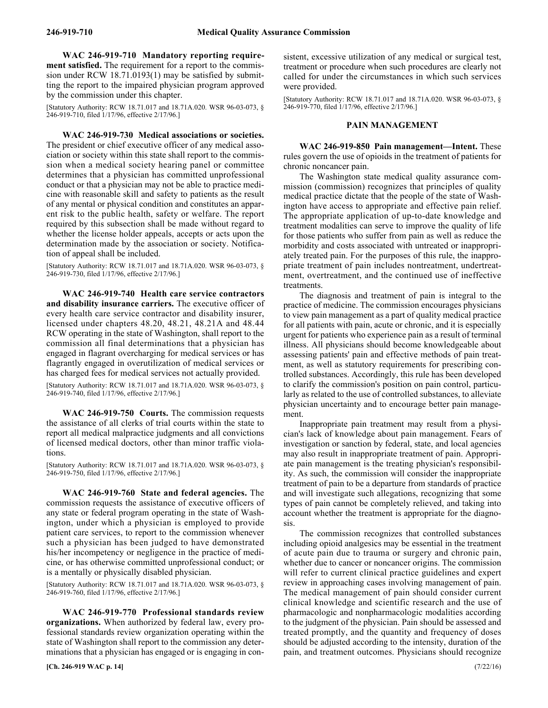246-919-710 **WAC 246-919-710 Mandatory reporting requirement satisfied.** The requirement for a report to the commission under RCW 18.71.0193(1) may be satisfied by submitting the report to the impaired physician program approved by the commission under this chapter.

[Statutory Authority: RCW 18.71.017 and 18.71A.020. WSR 96-03-073, § 246-919-710, filed 1/17/96, effective 2/17/96.]

246-919-730 **WAC 246-919-730 Medical associations or societies.** The president or chief executive officer of any medical association or society within this state shall report to the commission when a medical society hearing panel or committee determines that a physician has committed unprofessional conduct or that a physician may not be able to practice medicine with reasonable skill and safety to patients as the result of any mental or physical condition and constitutes an apparent risk to the public health, safety or welfare. The report required by this subsection shall be made without regard to whether the license holder appeals, accepts or acts upon the determination made by the association or society. Notification of appeal shall be included.

[Statutory Authority: RCW 18.71.017 and 18.71A.020. WSR 96-03-073, § 246-919-730, filed 1/17/96, effective 2/17/96.]

246-919-740 **WAC 246-919-740 Health care service contractors and disability insurance carriers.** The executive officer of every health care service contractor and disability insurer, licensed under chapters 48.20, 48.21, 48.21A and 48.44 RCW operating in the state of Washington, shall report to the commission all final determinations that a physician has engaged in flagrant overcharging for medical services or has flagrantly engaged in overutilization of medical services or has charged fees for medical services not actually provided.

[Statutory Authority: RCW 18.71.017 and 18.71A.020. WSR 96-03-073, § 246-919-740, filed 1/17/96, effective 2/17/96.]

246-919-750 **WAC 246-919-750 Courts.** The commission requests the assistance of all clerks of trial courts within the state to report all medical malpractice judgments and all convictions of licensed medical doctors, other than minor traffic violations.

[Statutory Authority: RCW 18.71.017 and 18.71A.020. WSR 96-03-073, § 246-919-750, filed 1/17/96, effective 2/17/96.]

246-919-760 **WAC 246-919-760 State and federal agencies.** The commission requests the assistance of executive officers of any state or federal program operating in the state of Washington, under which a physician is employed to provide patient care services, to report to the commission whenever such a physician has been judged to have demonstrated his/her incompetency or negligence in the practice of medicine, or has otherwise committed unprofessional conduct; or is a mentally or physically disabled physician.

[Statutory Authority: RCW 18.71.017 and 18.71A.020. WSR 96-03-073, § 246-919-760, filed 1/17/96, effective 2/17/96.]

246-919-770 **WAC 246-919-770 Professional standards review organizations.** When authorized by federal law, every professional standards review organization operating within the state of Washington shall report to the commission any determinations that a physician has engaged or is engaging in consistent, excessive utilization of any medical or surgical test, treatment or procedure when such procedures are clearly not called for under the circumstances in which such services were provided.

[Statutory Authority: RCW 18.71.017 and 18.71A.020. WSR 96-03-073, § 246-919-770, filed 1/17/96, effective 2/17/96.]

### **PAIN MANAGEMENT**

246-919-850 **WAC 246-919-850 Pain management—Intent.** These rules govern the use of opioids in the treatment of patients for chronic noncancer pain.

The Washington state medical quality assurance commission (commission) recognizes that principles of quality medical practice dictate that the people of the state of Washington have access to appropriate and effective pain relief. The appropriate application of up-to-date knowledge and treatment modalities can serve to improve the quality of life for those patients who suffer from pain as well as reduce the morbidity and costs associated with untreated or inappropriately treated pain. For the purposes of this rule, the inappropriate treatment of pain includes nontreatment, undertreatment, overtreatment, and the continued use of ineffective treatments.

The diagnosis and treatment of pain is integral to the practice of medicine. The commission encourages physicians to view pain management as a part of quality medical practice for all patients with pain, acute or chronic, and it is especially urgent for patients who experience pain as a result of terminal illness. All physicians should become knowledgeable about assessing patients' pain and effective methods of pain treatment, as well as statutory requirements for prescribing controlled substances. Accordingly, this rule has been developed to clarify the commission's position on pain control, particularly as related to the use of controlled substances, to alleviate physician uncertainty and to encourage better pain management.

Inappropriate pain treatment may result from a physician's lack of knowledge about pain management. Fears of investigation or sanction by federal, state, and local agencies may also result in inappropriate treatment of pain. Appropriate pain management is the treating physician's responsibility. As such, the commission will consider the inappropriate treatment of pain to be a departure from standards of practice and will investigate such allegations, recognizing that some types of pain cannot be completely relieved, and taking into account whether the treatment is appropriate for the diagnosis.

The commission recognizes that controlled substances including opioid analgesics may be essential in the treatment of acute pain due to trauma or surgery and chronic pain, whether due to cancer or noncancer origins. The commission will refer to current clinical practice guidelines and expert review in approaching cases involving management of pain. The medical management of pain should consider current clinical knowledge and scientific research and the use of pharmacologic and nonpharmacologic modalities according to the judgment of the physician. Pain should be assessed and treated promptly, and the quantity and frequency of doses should be adjusted according to the intensity, duration of the pain, and treatment outcomes. Physicians should recognize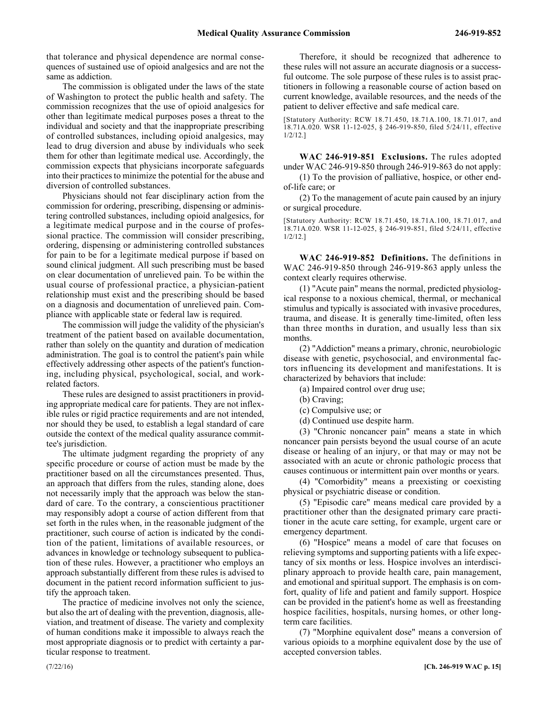that tolerance and physical dependence are normal consequences of sustained use of opioid analgesics and are not the same as addiction.

The commission is obligated under the laws of the state of Washington to protect the public health and safety. The commission recognizes that the use of opioid analgesics for other than legitimate medical purposes poses a threat to the individual and society and that the inappropriate prescribing of controlled substances, including opioid analgesics, may lead to drug diversion and abuse by individuals who seek them for other than legitimate medical use. Accordingly, the commission expects that physicians incorporate safeguards into their practices to minimize the potential for the abuse and diversion of controlled substances.

Physicians should not fear disciplinary action from the commission for ordering, prescribing, dispensing or administering controlled substances, including opioid analgesics, for a legitimate medical purpose and in the course of professional practice. The commission will consider prescribing, ordering, dispensing or administering controlled substances for pain to be for a legitimate medical purpose if based on sound clinical judgment. All such prescribing must be based on clear documentation of unrelieved pain. To be within the usual course of professional practice, a physician-patient relationship must exist and the prescribing should be based on a diagnosis and documentation of unrelieved pain. Compliance with applicable state or federal law is required.

The commission will judge the validity of the physician's treatment of the patient based on available documentation, rather than solely on the quantity and duration of medication administration. The goal is to control the patient's pain while effectively addressing other aspects of the patient's functioning, including physical, psychological, social, and workrelated factors.

These rules are designed to assist practitioners in providing appropriate medical care for patients. They are not inflexible rules or rigid practice requirements and are not intended, nor should they be used, to establish a legal standard of care outside the context of the medical quality assurance committee's jurisdiction.

The ultimate judgment regarding the propriety of any specific procedure or course of action must be made by the practitioner based on all the circumstances presented. Thus, an approach that differs from the rules, standing alone, does not necessarily imply that the approach was below the standard of care. To the contrary, a conscientious practitioner may responsibly adopt a course of action different from that set forth in the rules when, in the reasonable judgment of the practitioner, such course of action is indicated by the condition of the patient, limitations of available resources, or advances in knowledge or technology subsequent to publication of these rules. However, a practitioner who employs an approach substantially different from these rules is advised to document in the patient record information sufficient to justify the approach taken.

The practice of medicine involves not only the science, but also the art of dealing with the prevention, diagnosis, alleviation, and treatment of disease. The variety and complexity of human conditions make it impossible to always reach the most appropriate diagnosis or to predict with certainty a particular response to treatment.

Therefore, it should be recognized that adherence to these rules will not assure an accurate diagnosis or a successful outcome. The sole purpose of these rules is to assist practitioners in following a reasonable course of action based on current knowledge, available resources, and the needs of the patient to deliver effective and safe medical care.

[Statutory Authority: RCW 18.71.450, 18.71A.100, 18.71.017, and 18.71A.020. WSR 11-12-025, § 246-919-850, filed 5/24/11, effective 1/2/12.]

246-919-851 **WAC 246-919-851 Exclusions.** The rules adopted under WAC 246-919-850 through 246-919-863 do not apply:

(1) To the provision of palliative, hospice, or other endof-life care; or

(2) To the management of acute pain caused by an injury or surgical procedure.

[Statutory Authority: RCW 18.71.450, 18.71A.100, 18.71.017, and 18.71A.020. WSR 11-12-025, § 246-919-851, filed 5/24/11, effective 1/2/12.]

246-919-852 **WAC 246-919-852 Definitions.** The definitions in WAC 246-919-850 through 246-919-863 apply unless the context clearly requires otherwise.

(1) "Acute pain" means the normal, predicted physiological response to a noxious chemical, thermal, or mechanical stimulus and typically is associated with invasive procedures, trauma, and disease. It is generally time-limited, often less than three months in duration, and usually less than six months.

(2) "Addiction" means a primary, chronic, neurobiologic disease with genetic, psychosocial, and environmental factors influencing its development and manifestations. It is characterized by behaviors that include:

(a) Impaired control over drug use;

- (b) Craving;
- (c) Compulsive use; or
- (d) Continued use despite harm.

(3) "Chronic noncancer pain" means a state in which noncancer pain persists beyond the usual course of an acute disease or healing of an injury, or that may or may not be associated with an acute or chronic pathologic process that causes continuous or intermittent pain over months or years.

(4) "Comorbidity" means a preexisting or coexisting physical or psychiatric disease or condition.

(5) "Episodic care" means medical care provided by a practitioner other than the designated primary care practitioner in the acute care setting, for example, urgent care or emergency department.

(6) "Hospice" means a model of care that focuses on relieving symptoms and supporting patients with a life expectancy of six months or less. Hospice involves an interdisciplinary approach to provide health care, pain management, and emotional and spiritual support. The emphasis is on comfort, quality of life and patient and family support. Hospice can be provided in the patient's home as well as freestanding hospice facilities, hospitals, nursing homes, or other longterm care facilities.

(7) "Morphine equivalent dose" means a conversion of various opioids to a morphine equivalent dose by the use of accepted conversion tables.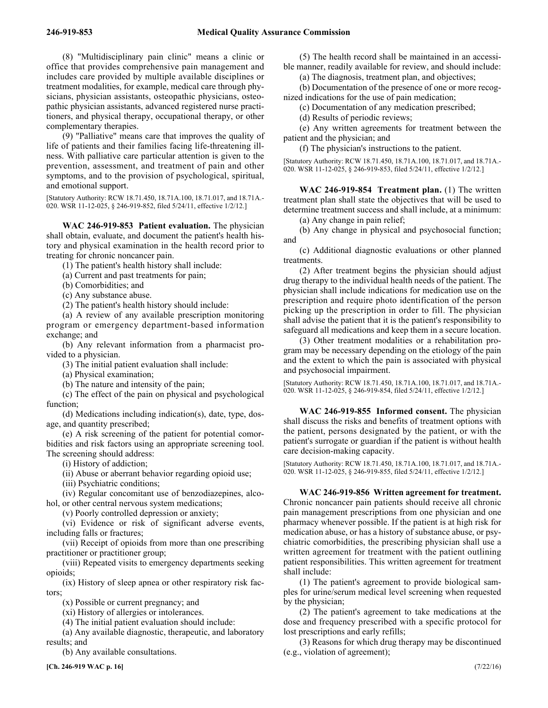(8) "Multidisciplinary pain clinic" means a clinic or office that provides comprehensive pain management and includes care provided by multiple available disciplines or treatment modalities, for example, medical care through physicians, physician assistants, osteopathic physicians, osteopathic physician assistants, advanced registered nurse practitioners, and physical therapy, occupational therapy, or other complementary therapies.

(9) "Palliative" means care that improves the quality of life of patients and their families facing life-threatening illness. With palliative care particular attention is given to the prevention, assessment, and treatment of pain and other symptoms, and to the provision of psychological, spiritual, and emotional support.

[Statutory Authority: RCW 18.71.450, 18.71A.100, 18.71.017, and 18.71A.- 020. WSR 11-12-025, § 246-919-852, filed 5/24/11, effective 1/2/12.]

246-919-853 **WAC 246-919-853 Patient evaluation.** The physician shall obtain, evaluate, and document the patient's health history and physical examination in the health record prior to treating for chronic noncancer pain.

(1) The patient's health history shall include:

(a) Current and past treatments for pain;

- (b) Comorbidities; and
- (c) Any substance abuse.

(2) The patient's health history should include:

(a) A review of any available prescription monitoring program or emergency department-based information exchange; and

(b) Any relevant information from a pharmacist provided to a physician.

(3) The initial patient evaluation shall include:

(a) Physical examination;

(b) The nature and intensity of the pain;

(c) The effect of the pain on physical and psychological function;

(d) Medications including indication(s), date, type, dosage, and quantity prescribed;

(e) A risk screening of the patient for potential comorbidities and risk factors using an appropriate screening tool. The screening should address:

(i) History of addiction;

(ii) Abuse or aberrant behavior regarding opioid use;

(iii) Psychiatric conditions;

(iv) Regular concomitant use of benzodiazepines, alcohol, or other central nervous system medications;

(v) Poorly controlled depression or anxiety;

(vi) Evidence or risk of significant adverse events, including falls or fractures;

(vii) Receipt of opioids from more than one prescribing practitioner or practitioner group;

(viii) Repeated visits to emergency departments seeking opioids;

(ix) History of sleep apnea or other respiratory risk factors;

(x) Possible or current pregnancy; and

(xi) History of allergies or intolerances.

(4) The initial patient evaluation should include:

(a) Any available diagnostic, therapeutic, and laboratory results; and

(b) Any available consultations.

(5) The health record shall be maintained in an accessible manner, readily available for review, and should include:

(a) The diagnosis, treatment plan, and objectives;

(b) Documentation of the presence of one or more recognized indications for the use of pain medication;

(c) Documentation of any medication prescribed;

(d) Results of periodic reviews;

(e) Any written agreements for treatment between the patient and the physician; and

(f) The physician's instructions to the patient.

[Statutory Authority: RCW 18.71.450, 18.71A.100, 18.71.017, and 18.71A.- 020. WSR 11-12-025, § 246-919-853, filed 5/24/11, effective 1/2/12.]

246-919-854 **WAC 246-919-854 Treatment plan.** (1) The written treatment plan shall state the objectives that will be used to determine treatment success and shall include, at a minimum:

(a) Any change in pain relief;

(b) Any change in physical and psychosocial function; and

(c) Additional diagnostic evaluations or other planned treatments.

(2) After treatment begins the physician should adjust drug therapy to the individual health needs of the patient. The physician shall include indications for medication use on the prescription and require photo identification of the person picking up the prescription in order to fill. The physician shall advise the patient that it is the patient's responsibility to safeguard all medications and keep them in a secure location.

(3) Other treatment modalities or a rehabilitation program may be necessary depending on the etiology of the pain and the extent to which the pain is associated with physical and psychosocial impairment.

[Statutory Authority: RCW 18.71.450, 18.71A.100, 18.71.017, and 18.71A.- 020. WSR 11-12-025, § 246-919-854, filed 5/24/11, effective 1/2/12.]

246-919-855 **WAC 246-919-855 Informed consent.** The physician shall discuss the risks and benefits of treatment options with the patient, persons designated by the patient, or with the patient's surrogate or guardian if the patient is without health care decision-making capacity.

[Statutory Authority: RCW 18.71.450, 18.71A.100, 18.71.017, and 18.71A.- 020. WSR 11-12-025, § 246-919-855, filed 5/24/11, effective 1/2/12.]

# 246-919-856 **WAC 246-919-856 Written agreement for treatment.**

Chronic noncancer pain patients should receive all chronic pain management prescriptions from one physician and one pharmacy whenever possible. If the patient is at high risk for medication abuse, or has a history of substance abuse, or psychiatric comorbidities, the prescribing physician shall use a written agreement for treatment with the patient outlining patient responsibilities. This written agreement for treatment shall include:

(1) The patient's agreement to provide biological samples for urine/serum medical level screening when requested by the physician;

(2) The patient's agreement to take medications at the dose and frequency prescribed with a specific protocol for lost prescriptions and early refills;

(3) Reasons for which drug therapy may be discontinued (e.g., violation of agreement);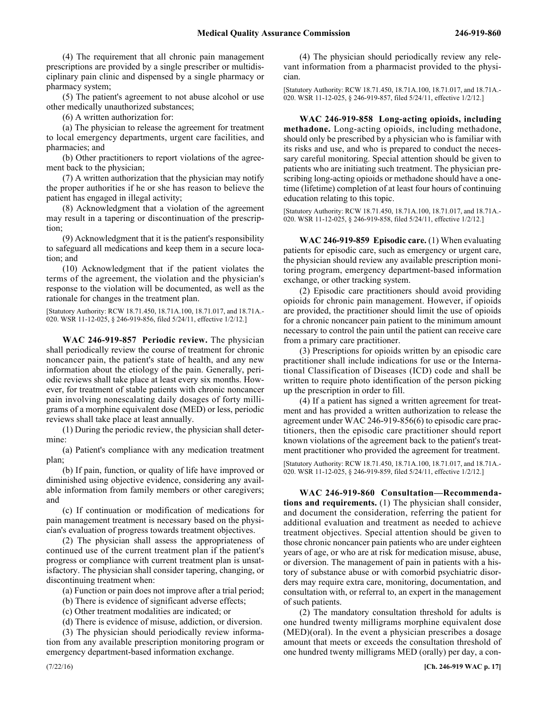(4) The requirement that all chronic pain management prescriptions are provided by a single prescriber or multidisciplinary pain clinic and dispensed by a single pharmacy or pharmacy system;

(5) The patient's agreement to not abuse alcohol or use other medically unauthorized substances;

(6) A written authorization for:

(a) The physician to release the agreement for treatment to local emergency departments, urgent care facilities, and pharmacies; and

(b) Other practitioners to report violations of the agreement back to the physician;

(7) A written authorization that the physician may notify the proper authorities if he or she has reason to believe the patient has engaged in illegal activity;

(8) Acknowledgment that a violation of the agreement may result in a tapering or discontinuation of the prescription;

(9) Acknowledgment that it is the patient's responsibility to safeguard all medications and keep them in a secure location; and

(10) Acknowledgment that if the patient violates the terms of the agreement, the violation and the physician's response to the violation will be documented, as well as the rationale for changes in the treatment plan.

[Statutory Authority: RCW 18.71.450, 18.71A.100, 18.71.017, and 18.71A.- 020. WSR 11-12-025, § 246-919-856, filed 5/24/11, effective 1/2/12.]

246-919-857 **WAC 246-919-857 Periodic review.** The physician shall periodically review the course of treatment for chronic noncancer pain, the patient's state of health, and any new information about the etiology of the pain. Generally, periodic reviews shall take place at least every six months. However, for treatment of stable patients with chronic noncancer pain involving nonescalating daily dosages of forty milligrams of a morphine equivalent dose (MED) or less, periodic reviews shall take place at least annually.

(1) During the periodic review, the physician shall determine:

(a) Patient's compliance with any medication treatment plan;

(b) If pain, function, or quality of life have improved or diminished using objective evidence, considering any available information from family members or other caregivers; and

(c) If continuation or modification of medications for pain management treatment is necessary based on the physician's evaluation of progress towards treatment objectives.

(2) The physician shall assess the appropriateness of continued use of the current treatment plan if the patient's progress or compliance with current treatment plan is unsatisfactory. The physician shall consider tapering, changing, or discontinuing treatment when:

(a) Function or pain does not improve after a trial period;

(b) There is evidence of significant adverse effects;

(c) Other treatment modalities are indicated; or

(d) There is evidence of misuse, addiction, or diversion.

(3) The physician should periodically review information from any available prescription monitoring program or emergency department-based information exchange.

(4) The physician should periodically review any relevant information from a pharmacist provided to the physician.

[Statutory Authority: RCW 18.71.450, 18.71A.100, 18.71.017, and 18.71A.- 020. WSR 11-12-025, § 246-919-857, filed 5/24/11, effective 1/2/12.]

246-919-858 **WAC 246-919-858 Long-acting opioids, including methadone.** Long-acting opioids, including methadone, should only be prescribed by a physician who is familiar with its risks and use, and who is prepared to conduct the necessary careful monitoring. Special attention should be given to patients who are initiating such treatment. The physician prescribing long-acting opioids or methadone should have a onetime (lifetime) completion of at least four hours of continuing education relating to this topic.

[Statutory Authority: RCW 18.71.450, 18.71A.100, 18.71.017, and 18.71A.- 020. WSR 11-12-025, § 246-919-858, filed 5/24/11, effective 1/2/12.]

246-919-859 **WAC 246-919-859 Episodic care.** (1) When evaluating patients for episodic care, such as emergency or urgent care, the physician should review any available prescription monitoring program, emergency department-based information exchange, or other tracking system.

(2) Episodic care practitioners should avoid providing opioids for chronic pain management. However, if opioids are provided, the practitioner should limit the use of opioids for a chronic noncancer pain patient to the minimum amount necessary to control the pain until the patient can receive care from a primary care practitioner.

(3) Prescriptions for opioids written by an episodic care practitioner shall include indications for use or the International Classification of Diseases (ICD) code and shall be written to require photo identification of the person picking up the prescription in order to fill.

(4) If a patient has signed a written agreement for treatment and has provided a written authorization to release the agreement under WAC 246-919-856(6) to episodic care practitioners, then the episodic care practitioner should report known violations of the agreement back to the patient's treatment practitioner who provided the agreement for treatment.

[Statutory Authority: RCW 18.71.450, 18.71A.100, 18.71.017, and 18.71A.- 020. WSR 11-12-025, § 246-919-859, filed 5/24/11, effective 1/2/12.]

246-919-860 **WAC 246-919-860 Consultation—Recommendations and requirements.** (1) The physician shall consider, and document the consideration, referring the patient for additional evaluation and treatment as needed to achieve treatment objectives. Special attention should be given to those chronic noncancer pain patients who are under eighteen years of age, or who are at risk for medication misuse, abuse, or diversion. The management of pain in patients with a history of substance abuse or with comorbid psychiatric disorders may require extra care, monitoring, documentation, and consultation with, or referral to, an expert in the management of such patients.

(2) The mandatory consultation threshold for adults is one hundred twenty milligrams morphine equivalent dose (MED)(oral). In the event a physician prescribes a dosage amount that meets or exceeds the consultation threshold of one hundred twenty milligrams MED (orally) per day, a con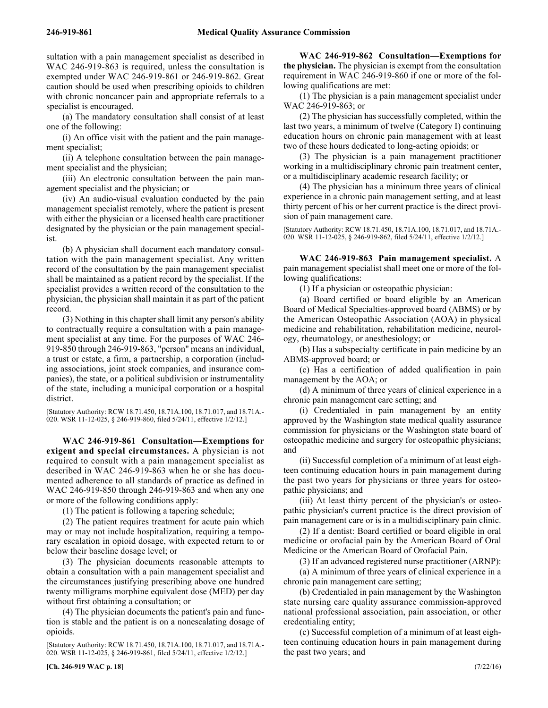sultation with a pain management specialist as described in WAC 246-919-863 is required, unless the consultation is exempted under WAC 246-919-861 or 246-919-862. Great caution should be used when prescribing opioids to children with chronic noncancer pain and appropriate referrals to a specialist is encouraged.

(a) The mandatory consultation shall consist of at least one of the following:

(i) An office visit with the patient and the pain management specialist;

(ii) A telephone consultation between the pain management specialist and the physician;

(iii) An electronic consultation between the pain management specialist and the physician; or

(iv) An audio-visual evaluation conducted by the pain management specialist remotely, where the patient is present with either the physician or a licensed health care practitioner designated by the physician or the pain management specialist.

(b) A physician shall document each mandatory consultation with the pain management specialist. Any written record of the consultation by the pain management specialist shall be maintained as a patient record by the specialist. If the specialist provides a written record of the consultation to the physician, the physician shall maintain it as part of the patient record.

(3) Nothing in this chapter shall limit any person's ability to contractually require a consultation with a pain management specialist at any time. For the purposes of WAC 246- 919-850 through 246-919-863, "person" means an individual, a trust or estate, a firm, a partnership, a corporation (including associations, joint stock companies, and insurance companies), the state, or a political subdivision or instrumentality of the state, including a municipal corporation or a hospital district.

[Statutory Authority: RCW 18.71.450, 18.71A.100, 18.71.017, and 18.71A.- 020. WSR 11-12-025, § 246-919-860, filed 5/24/11, effective 1/2/12.]

246-919-861 **WAC 246-919-861 Consultation—Exemptions for exigent and special circumstances.** A physician is not required to consult with a pain management specialist as described in WAC 246-919-863 when he or she has documented adherence to all standards of practice as defined in WAC 246-919-850 through 246-919-863 and when any one or more of the following conditions apply:

(1) The patient is following a tapering schedule;

(2) The patient requires treatment for acute pain which may or may not include hospitalization, requiring a temporary escalation in opioid dosage, with expected return to or below their baseline dosage level; or

(3) The physician documents reasonable attempts to obtain a consultation with a pain management specialist and the circumstances justifying prescribing above one hundred twenty milligrams morphine equivalent dose (MED) per day without first obtaining a consultation; or

(4) The physician documents the patient's pain and function is stable and the patient is on a nonescalating dosage of opioids.

[Statutory Authority: RCW 18.71.450, 18.71A.100, 18.71.017, and 18.71A.- 020. WSR 11-12-025, § 246-919-861, filed 5/24/11, effective 1/2/12.]

246-919-862 **WAC 246-919-862 Consultation—Exemptions for the physician.** The physician is exempt from the consultation requirement in WAC 246-919-860 if one or more of the following qualifications are met:

(1) The physician is a pain management specialist under WAC 246-919-863; or

(2) The physician has successfully completed, within the last two years, a minimum of twelve (Category I) continuing education hours on chronic pain management with at least two of these hours dedicated to long-acting opioids; or

(3) The physician is a pain management practitioner working in a multidisciplinary chronic pain treatment center, or a multidisciplinary academic research facility; or

(4) The physician has a minimum three years of clinical experience in a chronic pain management setting, and at least thirty percent of his or her current practice is the direct provision of pain management care.

[Statutory Authority: RCW 18.71.450, 18.71A.100, 18.71.017, and 18.71A.- 020. WSR 11-12-025, § 246-919-862, filed 5/24/11, effective 1/2/12.]

246-919-863 **WAC 246-919-863 Pain management specialist.** A pain management specialist shall meet one or more of the following qualifications:

(1) If a physician or osteopathic physician:

(a) Board certified or board eligible by an American Board of Medical Specialties-approved board (ABMS) or by the American Osteopathic Association (AOA) in physical medicine and rehabilitation, rehabilitation medicine, neurology, rheumatology, or anesthesiology; or

(b) Has a subspecialty certificate in pain medicine by an ABMS-approved board; or

(c) Has a certification of added qualification in pain management by the AOA; or

(d) A minimum of three years of clinical experience in a chronic pain management care setting; and

(i) Credentialed in pain management by an entity approved by the Washington state medical quality assurance commission for physicians or the Washington state board of osteopathic medicine and surgery for osteopathic physicians; and

(ii) Successful completion of a minimum of at least eighteen continuing education hours in pain management during the past two years for physicians or three years for osteopathic physicians; and

(iii) At least thirty percent of the physician's or osteopathic physician's current practice is the direct provision of pain management care or is in a multidisciplinary pain clinic.

(2) If a dentist: Board certified or board eligible in oral medicine or orofacial pain by the American Board of Oral Medicine or the American Board of Orofacial Pain.

(3) If an advanced registered nurse practitioner (ARNP):

(a) A minimum of three years of clinical experience in a chronic pain management care setting;

(b) Credentialed in pain management by the Washington state nursing care quality assurance commission-approved national professional association, pain association, or other credentialing entity;

(c) Successful completion of a minimum of at least eighteen continuing education hours in pain management during the past two years; and